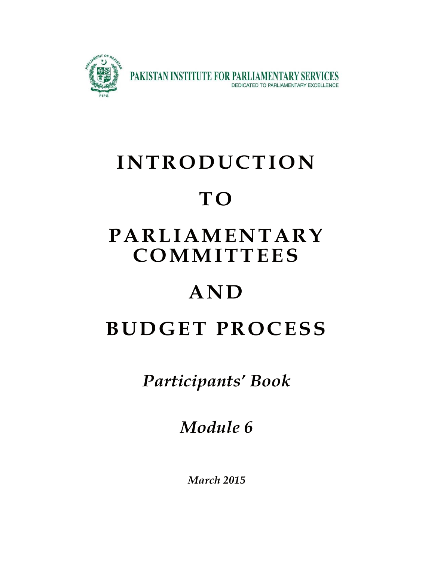

# **INTRODUCTION**

# **TO**

# **PARLIAMENTARY COMMITTEES**

# **AND**

# **BUDGET PROCESS**

*Participants' Book* 

*Module 6* 

*March 2015*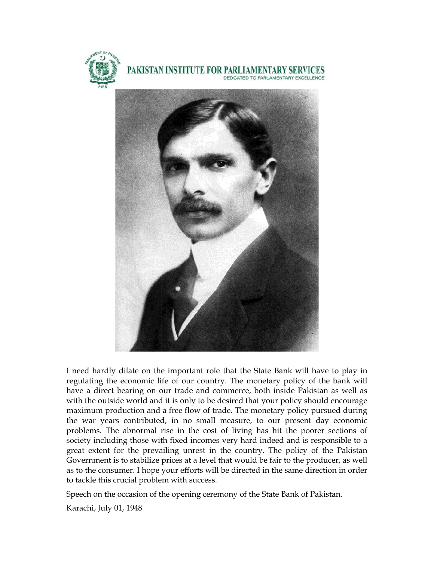



I need hardly dilate on the important role that the State Bank will have to play in regulating the economic life of our country. The monetary policy of the bank will have a direct bearing on our trade and commerce, both inside Pakistan as well as with the outside world and it is only to be desired that your policy should encourage maximum production and a free flow of trade. The monetary policy pursued during the war years contributed, in no small measure, to our present day economic problems. The abnormal rise in the cost of living has hit the poorer sections of society including those with fixed incomes very hard indeed and is responsible to a great extent for the prevailing unrest in the country. The policy of the Pakistan Government is to stabilize prices at a level that would be fair to the producer, as well as to the consumer. I hope your efforts will be directed in the same direction in order to tackle this crucial problem with success.

Speech on the occasion of the opening ceremony of the State Bank of Pakistan.

Karach hi, July 01, 1948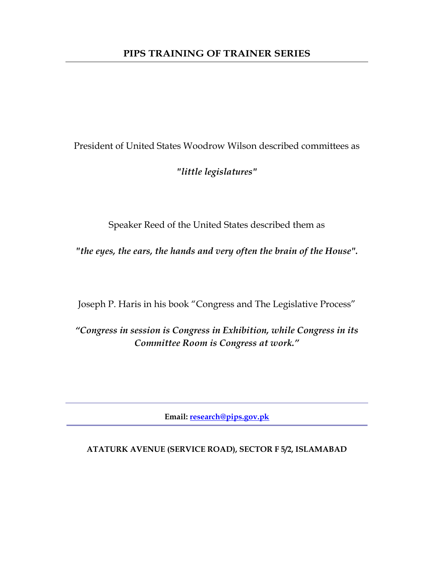President of United States Woodrow Wilson described committees as

*"little legislatures"* 

Speaker Reed of the United States described them as

*"the eyes, the ears, the hands and very often the brain of the House".*

Joseph P. Haris in his book "Congress and The Legislative Process"

*"Congress in session is Congress in Exhibition, while Congress in its Committee Room is Congress at work."*

**Email: research@pips.gov.pk** 

**ATATURK AVENUE (SERVICE ROAD), SECTOR F 5/2, ISLAMABAD**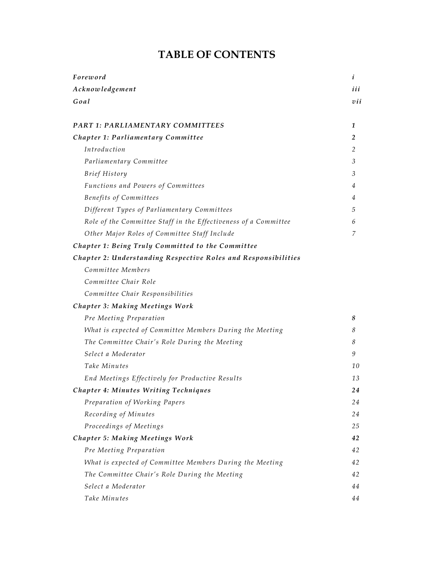## **TABLE OF CONTENTS**

| Foreword                                                        | i              |
|-----------------------------------------------------------------|----------------|
| Acknowledgement<br>Goal                                         | iii<br>vii     |
|                                                                 |                |
| PART 1: PARLIAMENTARY COMMITTEES                                | $\mathbf{1}$   |
| Chapter 1: Parliamentary Committee                              | $\overline{2}$ |
| Introduction                                                    | 2              |
| Parliamentary Committee                                         | 3              |
| <b>Brief History</b>                                            | 3              |
| Functions and Powers of Committees                              | 4              |
| <b>Benefits of Committees</b>                                   | 4              |
| Different Types of Parliamentary Committees                     | 5              |
| Role of the Committee Staff in the Effectiveness of a Committee | 6              |
| Other Major Roles of Committee Staff Include                    | 7              |
| Chapter 1: Being Truly Committed to the Committee               |                |
| Chapter 2: Understanding Respective Roles and Responsibilities  |                |
| Committee Members                                               |                |
| Committee Chair Role                                            |                |
| Committee Chair Responsibilities                                |                |
| Chapter 3: Making Meetings Work                                 |                |
| Pre Meeting Preparation                                         | 8              |
| What is expected of Committee Members During the Meeting        | 8              |
| The Committee Chair's Role During the Meeting                   | 8              |
| Select a Moderator                                              | 9              |
| Take Minutes                                                    | 10             |
| End Meetings Effectively for Productive Results                 | 13             |
| <b>Chapter 4: Minutes Writing Techniques</b>                    | 24             |
| Preparation of Working Papers                                   | 24             |
| Recording of Minutes                                            | 24             |
| Proceedings of Meetings                                         | 25             |
| Chapter 5: Making Meetings Work                                 | 42             |
| Pre Meeting Preparation                                         | 42             |
| What is expected of Committee Members During the Meeting        | 42             |
| The Committee Chair's Role During the Meeting                   | 42             |
| Select a Moderator                                              | 44             |
| Take Minutes                                                    | 44             |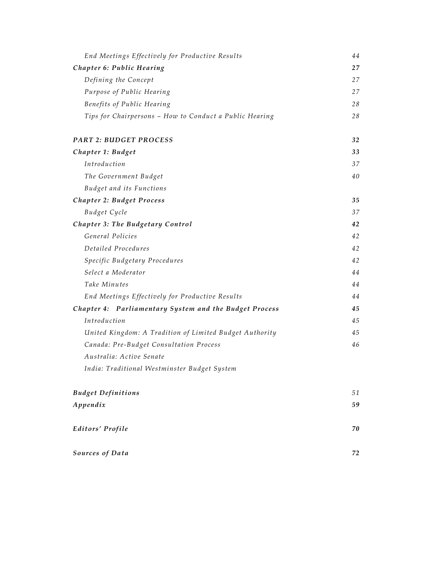| End Meetings Effectively for Productive Results         | 44 |
|---------------------------------------------------------|----|
| Chapter 6: Public Hearing                               | 27 |
| Defining the Concept                                    | 27 |
| Purpose of Public Hearing                               | 27 |
| Benefits of Public Hearing                              | 28 |
| Tips for Chairpersons - How to Conduct a Public Hearing | 28 |
| <b>PART 2: BUDGET PROCESS</b>                           | 32 |
| Chapter 1: Budget                                       | 33 |
| Introduction                                            | 37 |
| The Government Budget                                   | 40 |
| Budget and its Functions                                |    |
| Chapter 2: Budget Process                               | 35 |
| Budget Cycle                                            | 37 |
| Chapter 3: The Budgetary Control                        | 42 |
| General Policies                                        | 42 |
| Detailed Procedures                                     | 42 |
| Specific Budgetary Procedures                           | 42 |
| Select a Moderator                                      | 44 |
| Take Minutes                                            | 44 |
| End Meetings Effectively for Productive Results         | 44 |
| Chapter 4: Parliamentary System and the Budget Process  | 45 |
| Introduction                                            | 45 |
| United Kingdom: A Tradition of Limited Budget Authority | 45 |
| Canada: Pre-Budget Consultation Process                 | 46 |
| Australia: Active Senate                                |    |
| India: Traditional Westminster Budget System            |    |
| <b>Budget Definitions</b>                               | 51 |
| Appendix                                                | 59 |
| Editors' Profile                                        | 70 |
| Sources of Data                                         | 72 |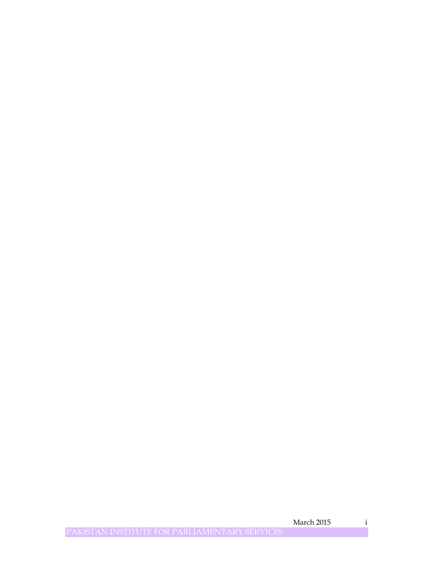March 2015 i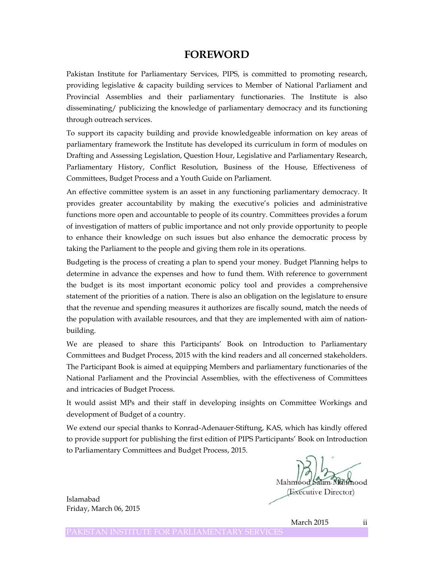### **FOREWORD**

Pakistan Institute for Parliamentary Services, PIPS, is committed to promoting research, providing legislative & capacity building services to Member of National Parliament and Provincial Assemblies and their parliamentary functionaries. The Institute is also disseminating/ publicizing the knowledge of parliamentary democracy and its functioning through outreach services.

To support its capacity building and provide knowledgeable information on key areas of parliamentary framework the Institute has developed its curriculum in form of modules on Drafting and Assessing Legislation, Question Hour, Legislative and Parliamentary Research, Parliamentary History, Conflict Resolution, Business of the House, Effectiveness of Committees, Budget Process and a Youth Guide on Parliament.

An effective committee system is an asset in any functioning parliamentary democracy. It provides greater accountability by making the executive's policies and administrative functions more open and accountable to people of its country. Committees provides a forum of investigation of matters of public importance and not only provide opportunity to people to enhance their knowledge on such issues but also enhance the democratic process by taking the Parliament to the people and giving them role in its operations.

Budgeting is the process of creating a plan to spend your money. Budget Planning helps to determine in advance the expenses and how to fund them. With reference to government the budget is its most important economic policy tool and provides a comprehensive statement of the priorities of a nation. There is also an obligation on the legislature to ensure that the revenue and spending measures it authorizes are fiscally sound, match the needs of the population with available resources, and that they are implemented with aim of nationbuilding.

We are pleased to share this Participants' Book on Introduction to Parliamentary Committees and Budget Process, 2015 with the kind readers and all concerned stakeholders. The Participant Book is aimed at equipping Members and parliamentary functionaries of the National Parliament and the Provincial Assemblies, with the effectiveness of Committees and intricacies of Budget Process.

It would assist MPs and their staff in developing insights on Committee Workings and development of Budget of a country.

We extend our special thanks to Konrad-Adenauer-Stiftung, KAS, which has kindly offered to provide support for publishing the first edition of PIPS Participants' Book on Introduction to Parliamentary Committees and Budget Process, 2015.

Mahmood Salim Nahmood (Executive Director)

Islamabad Friday, March 06, 2015

March 2015 ii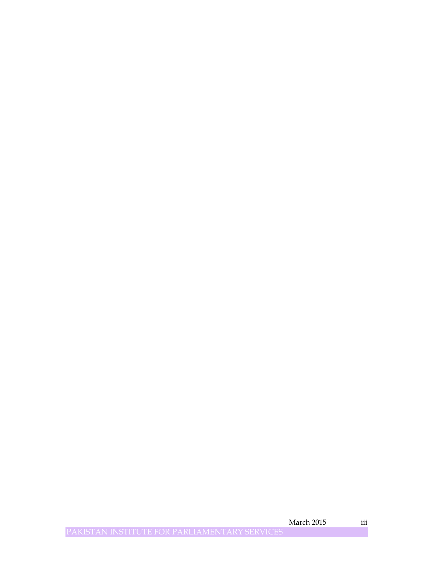PAKISTAN INSTITUTE FOR PARLIAMENTARY SERVICES

March 2015 iii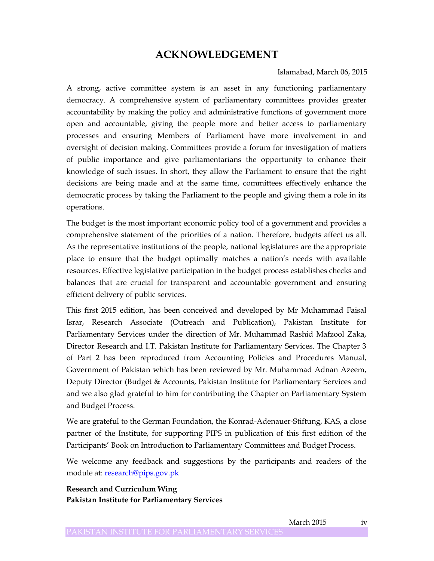### **ACKNOWLEDGEMENT**

#### Islamabad, March 06, 2015

A strong, active committee system is an asset in any functioning parliamentary democracy. A comprehensive system of parliamentary committees provides greater accountability by making the policy and administrative functions of government more open and accountable, giving the people more and better access to parliamentary processes and ensuring Members of Parliament have more involvement in and oversight of decision making. Committees provide a forum for investigation of matters of public importance and give parliamentarians the opportunity to enhance their knowledge of such issues. In short, they allow the Parliament to ensure that the right decisions are being made and at the same time, committees effectively enhance the democratic process by taking the Parliament to the people and giving them a role in its operations.

The budget is the most important economic policy tool of a government and provides a comprehensive statement of the priorities of a nation. Therefore, budgets affect us all. As the representative institutions of the people, national legislatures are the appropriate place to ensure that the budget optimally matches a nation's needs with available resources. Effective legislative participation in the budget process establishes checks and balances that are crucial for transparent and accountable government and ensuring efficient delivery of public services.

This first 2015 edition, has been conceived and developed by Mr Muhammad Faisal Israr, Research Associate (Outreach and Publication), Pakistan Institute for Parliamentary Services under the direction of Mr. Muhammad Rashid Mafzool Zaka, Director Research and I.T. Pakistan Institute for Parliamentary Services. The Chapter 3 of Part 2 has been reproduced from Accounting Policies and Procedures Manual, Government of Pakistan which has been reviewed by Mr. Muhammad Adnan Azeem, Deputy Director (Budget & Accounts, Pakistan Institute for Parliamentary Services and and we also glad grateful to him for contributing the Chapter on Parliamentary System and Budget Process.

We are grateful to the German Foundation, the Konrad-Adenauer-Stiftung, KAS, a close partner of the Institute, for supporting PIPS in publication of this first edition of the Participants' Book on Introduction to Parliamentary Committees and Budget Process.

We welcome any feedback and suggestions by the participants and readers of the module at: research@pips.gov.pk

**Research and Curriculum Wing Pakistan Institute for Parliamentary Services**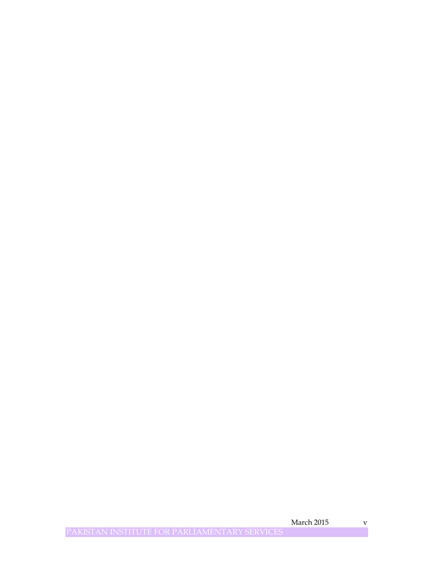PAKISTAN INSTITUTE FOR PARLIAMENTARY SERVICES

March 2015 v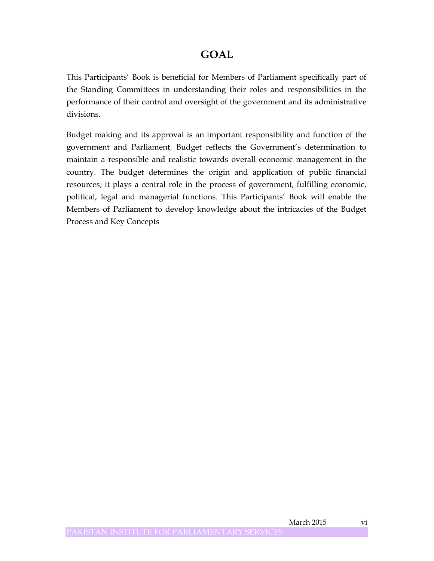### **GOAL**

This Participants' Book is beneficial for Members of Parliament specifically part of the Standing Committees in understanding their roles and responsibilities in the performance of their control and oversight of the government and its administrative divisions.

Budget making and its approval is an important responsibility and function of the government and Parliament. Budget reflects the Government's determination to maintain a responsible and realistic towards overall economic management in the country. The budget determines the origin and application of public financial resources; it plays a central role in the process of government, fulfilling economic, political, legal and managerial functions. This Participants' Book will enable the Members of Parliament to develop knowledge about the intricacies of the Budget Process and Key Concepts

March 2015 vi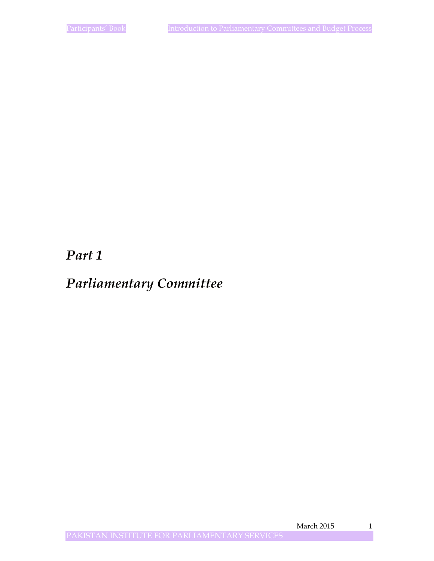## *Part 1*

# *Parliamentary Committee*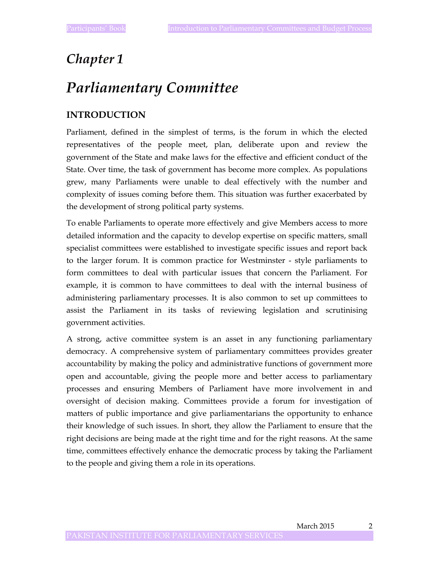## *Chapter 1*

# *Parliamentary Committee*

#### **INTRODUCTION**

Parliament, defined in the simplest of terms, is the forum in which the elected representatives of the people meet, plan, deliberate upon and review the government of the State and make laws for the effective and efficient conduct of the State. Over time, the task of government has become more complex. As populations grew, many Parliaments were unable to deal effectively with the number and complexity of issues coming before them. This situation was further exacerbated by the development of strong political party systems.

To enable Parliaments to operate more effectively and give Members access to more detailed information and the capacity to develop expertise on specific matters, small specialist committees were established to investigate specific issues and report back to the larger forum. It is common practice for Westminster - style parliaments to form committees to deal with particular issues that concern the Parliament. For example, it is common to have committees to deal with the internal business of administering parliamentary processes. It is also common to set up committees to assist the Parliament in its tasks of reviewing legislation and scrutinising government activities.

A strong, active committee system is an asset in any functioning parliamentary democracy. A comprehensive system of parliamentary committees provides greater accountability by making the policy and administrative functions of government more open and accountable, giving the people more and better access to parliamentary processes and ensuring Members of Parliament have more involvement in and oversight of decision making. Committees provide a forum for investigation of matters of public importance and give parliamentarians the opportunity to enhance their knowledge of such issues. In short, they allow the Parliament to ensure that the right decisions are being made at the right time and for the right reasons. At the same time, committees effectively enhance the democratic process by taking the Parliament to the people and giving them a role in its operations.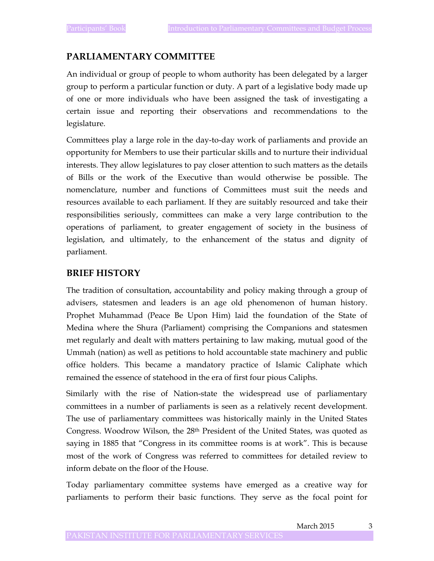### **PARLIAMENTARY COMMITTEE**

An individual or group of people to whom authority has been delegated by a larger group to perform a particular function or duty. A part of a legislative body made up of one or more individuals who have been assigned the task of investigating a certain issue and reporting their observations and recommendations to the legislature.

Committees play a large role in the day-to-day work of parliaments and provide an opportunity for Members to use their particular skills and to nurture their individual interests. They allow legislatures to pay closer attention to such matters as the details of Bills or the work of the Executive than would otherwise be possible. The nomenclature, number and functions of Committees must suit the needs and resources available to each parliament. If they are suitably resourced and take their responsibilities seriously, committees can make a very large contribution to the operations of parliament, to greater engagement of society in the business of legislation, and ultimately, to the enhancement of the status and dignity of parliament.

#### **BRIEF HISTORY**

The tradition of consultation, accountability and policy making through a group of advisers, statesmen and leaders is an age old phenomenon of human history. Prophet Muhammad (Peace Be Upon Him) laid the foundation of the State of Medina where the Shura (Parliament) comprising the Companions and statesmen met regularly and dealt with matters pertaining to law making, mutual good of the Ummah (nation) as well as petitions to hold accountable state machinery and public office holders. This became a mandatory practice of Islamic Caliphate which remained the essence of statehood in the era of first four pious Caliphs.

Similarly with the rise of Nation-state the widespread use of parliamentary committees in a number of parliaments is seen as a relatively recent development. The use of parliamentary committees was historically mainly in the United States Congress. Woodrow Wilson, the  $28<sup>th</sup>$  President of the United States, was quoted as saying in 1885 that "Congress in its committee rooms is at work". This is because most of the work of Congress was referred to committees for detailed review to inform debate on the floor of the House.

Today parliamentary committee systems have emerged as a creative way for parliaments to perform their basic functions. They serve as the focal point for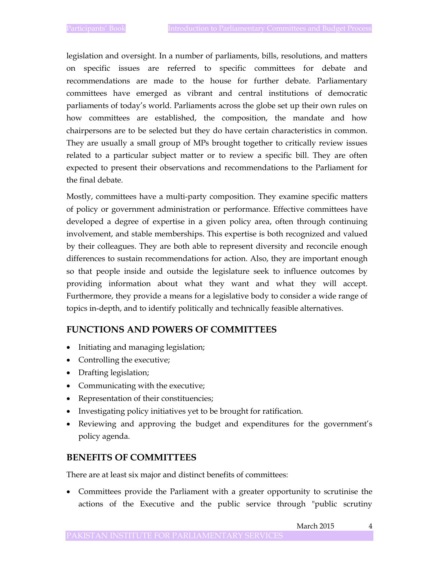legislation and oversight. In a number of parliaments, bills, resolutions, and matters on specific issues are referred to specific committees for debate and recommendations are made to the house for further debate. Parliamentary committees have emerged as vibrant and central institutions of democratic parliaments of today's world. Parliaments across the globe set up their own rules on how committees are established, the composition, the mandate and how chairpersons are to be selected but they do have certain characteristics in common. They are usually a small group of MPs brought together to critically review issues related to a particular subject matter or to review a specific bill. They are often expected to present their observations and recommendations to the Parliament for the final debate.

Mostly, committees have a multi-party composition. They examine specific matters of policy or government administration or performance. Effective committees have developed a degree of expertise in a given policy area, often through continuing involvement, and stable memberships. This expertise is both recognized and valued by their colleagues. They are both able to represent diversity and reconcile enough differences to sustain recommendations for action. Also, they are important enough so that people inside and outside the legislature seek to influence outcomes by providing information about what they want and what they will accept. Furthermore, they provide a means for a legislative body to consider a wide range of topics in-depth, and to identify politically and technically feasible alternatives.

#### **FUNCTIONS AND POWERS OF COMMITTEES**

- Initiating and managing legislation;
- Controlling the executive;
- Drafting legislation;
- Communicating with the executive;
- Representation of their constituencies;
- Investigating policy initiatives yet to be brought for ratification.
- Reviewing and approving the budget and expenditures for the government's policy agenda.

#### **BENEFITS OF COMMITTEES**

There are at least six major and distinct benefits of committees:

 Committees provide the Parliament with a greater opportunity to scrutinise the actions of the Executive and the public service through "public scrutiny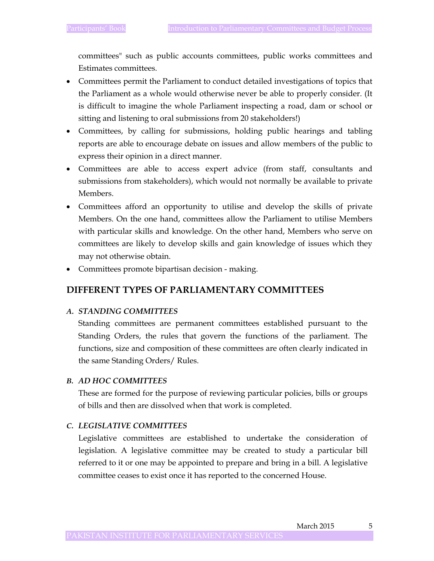committees" such as public accounts committees, public works committees and Estimates committees.

- Committees permit the Parliament to conduct detailed investigations of topics that the Parliament as a whole would otherwise never be able to properly consider. (It is difficult to imagine the whole Parliament inspecting a road, dam or school or sitting and listening to oral submissions from 20 stakeholders!)
- Committees, by calling for submissions, holding public hearings and tabling reports are able to encourage debate on issues and allow members of the public to express their opinion in a direct manner.
- Committees are able to access expert advice (from staff, consultants and submissions from stakeholders), which would not normally be available to private Members.
- Committees afford an opportunity to utilise and develop the skills of private Members. On the one hand, committees allow the Parliament to utilise Members with particular skills and knowledge. On the other hand, Members who serve on committees are likely to develop skills and gain knowledge of issues which they may not otherwise obtain.
- Committees promote bipartisan decision making.

### **DIFFERENT TYPES OF PARLIAMENTARY COMMITTEES**

#### *A. STANDING COMMITTEES*

Standing committees are permanent committees established pursuant to the Standing Orders, the rules that govern the functions of the parliament. The functions, size and composition of these committees are often clearly indicated in the same Standing Orders/ Rules.

#### *B. AD HOC COMMITTEES*

These are formed for the purpose of reviewing particular policies, bills or groups of bills and then are dissolved when that work is completed.

#### *C. LEGISLATIVE COMMITTEES*

Legislative committees are established to undertake the consideration of legislation. A legislative committee may be created to study a particular bill referred to it or one may be appointed to prepare and bring in a bill. A legislative committee ceases to exist once it has reported to the concerned House.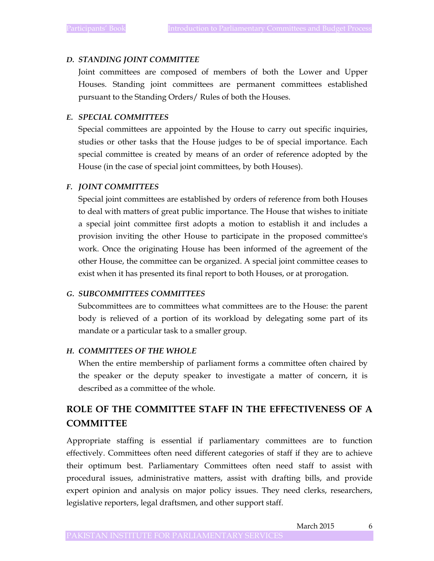#### *D. STANDING JOINT COMMITTEE*

Joint committees are composed of members of both the Lower and Upper Houses. Standing joint committees are permanent committees established pursuant to the Standing Orders/ Rules of both the Houses.

#### *E. SPECIAL COMMITTEES*

Special committees are appointed by the House to carry out specific inquiries, studies or other tasks that the House judges to be of special importance. Each special committee is created by means of an order of reference adopted by the House (in the case of special joint committees, by both Houses).

#### *F. JOINT COMMITTEES*

Special joint committees are established by orders of reference from both Houses to deal with matters of great public importance. The House that wishes to initiate a special joint committee first adopts a motion to establish it and includes a provision inviting the other House to participate in the proposed committee's work. Once the originating House has been informed of the agreement of the other House, the committee can be organized. A special joint committee ceases to exist when it has presented its final report to both Houses, or at prorogation.

#### *G. SUBCOMMITTEES COMMITTEES*

Subcommittees are to committees what committees are to the House: the parent body is relieved of a portion of its workload by delegating some part of its mandate or a particular task to a smaller group.

#### *H. COMMITTEES OF THE WHOLE*

When the entire membership of parliament forms a committee often chaired by the speaker or the deputy speaker to investigate a matter of concern, it is described as a committee of the whole.

### **ROLE OF THE COMMITTEE STAFF IN THE EFFECTIVENESS OF A COMMITTEE**

Appropriate staffing is essential if parliamentary committees are to function effectively. Committees often need different categories of staff if they are to achieve their optimum best. Parliamentary Committees often need staff to assist with procedural issues, administrative matters, assist with drafting bills, and provide expert opinion and analysis on major policy issues. They need clerks, researchers, legislative reporters, legal draftsmen, and other support staff.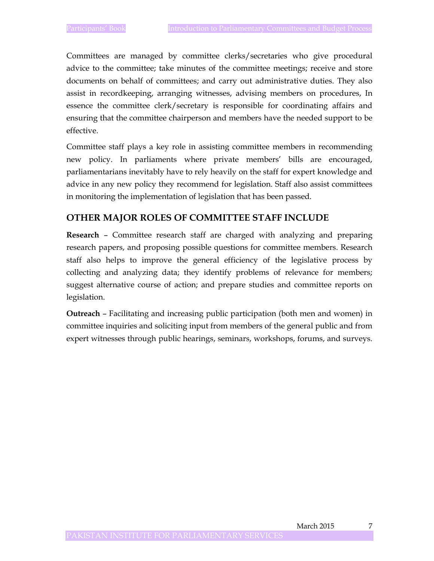Committees are managed by committee clerks/secretaries who give procedural advice to the committee; take minutes of the committee meetings; receive and store documents on behalf of committees; and carry out administrative duties. They also assist in recordkeeping, arranging witnesses, advising members on procedures, In essence the committee clerk/secretary is responsible for coordinating affairs and ensuring that the committee chairperson and members have the needed support to be effective.

Committee staff plays a key role in assisting committee members in recommending new policy. In parliaments where private members' bills are encouraged, parliamentarians inevitably have to rely heavily on the staff for expert knowledge and advice in any new policy they recommend for legislation. Staff also assist committees in monitoring the implementation of legislation that has been passed.

#### **OTHER MAJOR ROLES OF COMMITTEE STAFF INCLUDE**

**Research** – Committee research staff are charged with analyzing and preparing research papers, and proposing possible questions for committee members. Research staff also helps to improve the general efficiency of the legislative process by collecting and analyzing data; they identify problems of relevance for members; suggest alternative course of action; and prepare studies and committee reports on legislation.

**Outreach** – Facilitating and increasing public participation (both men and women) in committee inquiries and soliciting input from members of the general public and from expert witnesses through public hearings, seminars, workshops, forums, and surveys.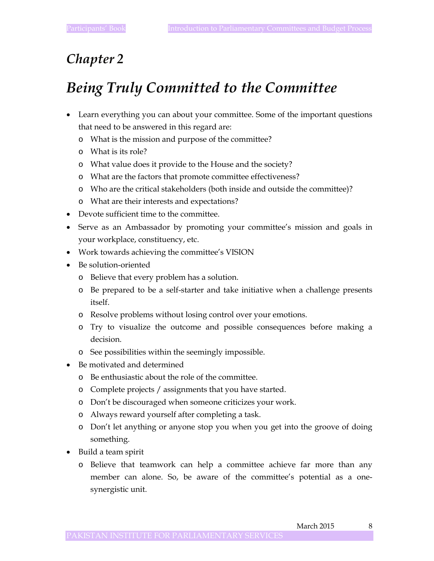## *Chapter 2*

# *Being Truly Committed to the Committee*

- Learn everything you can about your committee. Some of the important questions that need to be answered in this regard are:
	- o What is the mission and purpose of the committee?
	- o What is its role?
	- o What value does it provide to the House and the society?
	- o What are the factors that promote committee effectiveness?
	- o Who are the critical stakeholders (both inside and outside the committee)?
	- o What are their interests and expectations?
- Devote sufficient time to the committee.
- Serve as an Ambassador by promoting your committee's mission and goals in your workplace, constituency, etc.
- Work towards achieving the committee's VISION
- Be solution-oriented
	- o Believe that every problem has a solution.
	- o Be prepared to be a self-starter and take initiative when a challenge presents itself.
	- o Resolve problems without losing control over your emotions.
	- o Try to visualize the outcome and possible consequences before making a decision.
	- o See possibilities within the seemingly impossible.
- Be motivated and determined
	- o Be enthusiastic about the role of the committee.
	- o Complete projects / assignments that you have started.
	- o Don't be discouraged when someone criticizes your work.
	- o Always reward yourself after completing a task.
	- o Don't let anything or anyone stop you when you get into the groove of doing something.
- Build a team spirit
	- o Believe that teamwork can help a committee achieve far more than any member can alone. So, be aware of the committee's potential as a onesynergistic unit.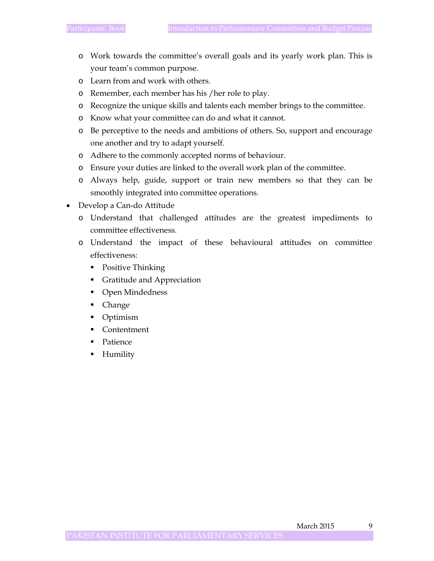- o Work towards the committee's overall goals and its yearly work plan. This is your team's common purpose.
- o Learn from and work with others.
- o Remember, each member has his /her role to play.
- o Recognize the unique skills and talents each member brings to the committee.
- o Know what your committee can do and what it cannot.
- o Be perceptive to the needs and ambitions of others. So, support and encourage one another and try to adapt yourself.
- o Adhere to the commonly accepted norms of behaviour.
- o Ensure your duties are linked to the overall work plan of the committee.
- o Always help, guide, support or train new members so that they can be smoothly integrated into committee operations.
- Develop a Can-do Attitude
	- o Understand that challenged attitudes are the greatest impediments to committee effectiveness.
	- o Understand the impact of these behavioural attitudes on committee effectiveness:
		- **Positive Thinking**
		- Gratitude and Appreciation
		- **•** Open Mindedness
		- Change
		- Optimism
		- Contentment
		- Patience
		- **•** Humility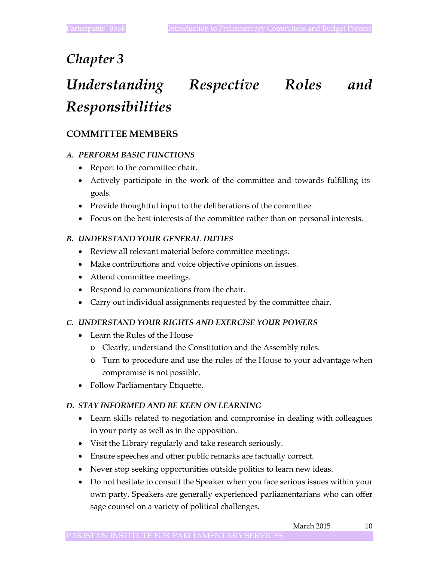# *Chapter 3*

# *Understanding Respective Roles and Responsibilities*

### **COMMITTEE MEMBERS**

#### *A. PERFORM BASIC FUNCTIONS*

- Report to the committee chair.
- Actively participate in the work of the committee and towards fulfilling its goals.
- Provide thoughtful input to the deliberations of the committee.
- Focus on the best interests of the committee rather than on personal interests.

#### *B. UNDERSTAND YOUR GENERAL DUTIES*

- Review all relevant material before committee meetings.
- Make contributions and voice objective opinions on issues.
- Attend committee meetings.
- Respond to communications from the chair.
- Carry out individual assignments requested by the committee chair.

#### *C. UNDERSTAND YOUR RIGHTS AND EXERCISE YOUR POWERS*

- Learn the Rules of the House
	- o Clearly, understand the Constitution and the Assembly rules.
	- o Turn to procedure and use the rules of the House to your advantage when compromise is not possible.
- Follow Parliamentary Etiquette.

#### *D. STAY INFORMED AND BE KEEN ON LEARNING*

- Learn skills related to negotiation and compromise in dealing with colleagues in your party as well as in the opposition.
- Visit the Library regularly and take research seriously.
- Ensure speeches and other public remarks are factually correct.
- Never stop seeking opportunities outside politics to learn new ideas.
- Do not hesitate to consult the Speaker when you face serious issues within your own party. Speakers are generally experienced parliamentarians who can offer sage counsel on a variety of political challenges.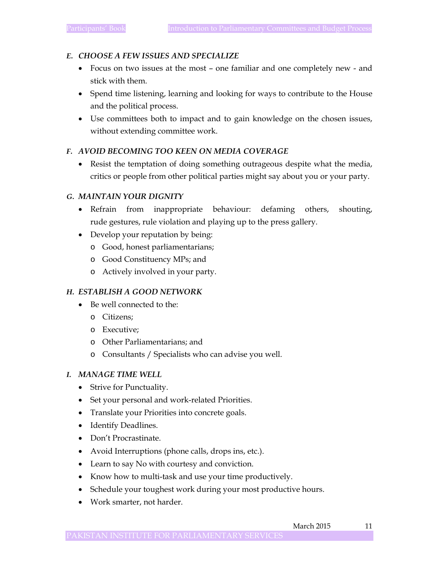#### *E. CHOOSE A FEW ISSUES AND SPECIALIZE*

- Focus on two issues at the most one familiar and one completely new and stick with them.
- Spend time listening, learning and looking for ways to contribute to the House and the political process.
- Use committees both to impact and to gain knowledge on the chosen issues, without extending committee work.

#### *F. AVOID BECOMING TOO KEEN ON MEDIA COVERAGE*

 Resist the temptation of doing something outrageous despite what the media, critics or people from other political parties might say about you or your party.

#### *G. MAINTAIN YOUR DIGNITY*

- Refrain from inappropriate behaviour: defaming others, shouting, rude gestures, rule violation and playing up to the press gallery.
- Develop your reputation by being:
	- o Good, honest parliamentarians;
	- o Good Constituency MPs; and
	- o Actively involved in your party.

#### *H. ESTABLISH A GOOD NETWORK*

- Be well connected to the:
	- o Citizens;
	- o Executive;
	- o Other Parliamentarians; and
	- o Consultants / Specialists who can advise you well.

#### *I. MANAGE TIME WELL*

- Strive for Punctuality.
- Set your personal and work-related Priorities.
- Translate your Priorities into concrete goals.
- Identify Deadlines.
- Don't Procrastinate.
- Avoid Interruptions (phone calls, drops ins, etc.).
- Learn to say No with courtesy and conviction.
- Know how to multi-task and use your time productively.
- Schedule your toughest work during your most productive hours.
- Work smarter, not harder.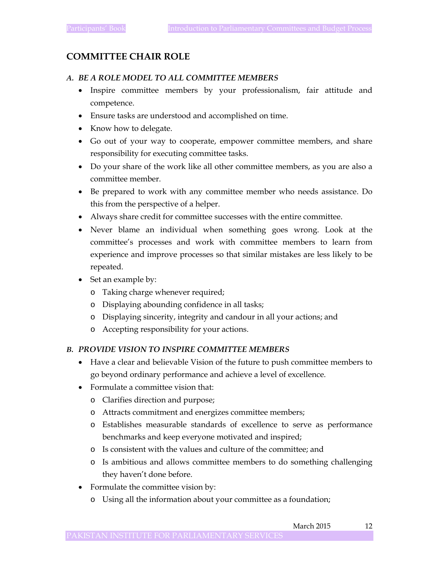### **COMMITTEE CHAIR ROLE**

#### *A. BE A ROLE MODEL TO ALL COMMITTEE MEMBERS*

- Inspire committee members by your professionalism, fair attitude and competence.
- Ensure tasks are understood and accomplished on time.
- Know how to delegate.
- Go out of your way to cooperate, empower committee members, and share responsibility for executing committee tasks.
- Do your share of the work like all other committee members, as you are also a committee member.
- Be prepared to work with any committee member who needs assistance. Do this from the perspective of a helper.
- Always share credit for committee successes with the entire committee.
- Never blame an individual when something goes wrong. Look at the committee's processes and work with committee members to learn from experience and improve processes so that similar mistakes are less likely to be repeated.
- Set an example by:
	- o Taking charge whenever required;
	- o Displaying abounding confidence in all tasks;
	- o Displaying sincerity, integrity and candour in all your actions; and
	- o Accepting responsibility for your actions.

#### *B. PROVIDE VISION TO INSPIRE COMMITTEE MEMBERS*

- Have a clear and believable Vision of the future to push committee members to go beyond ordinary performance and achieve a level of excellence.
- Formulate a committee vision that:
	- o Clarifies direction and purpose;
	- o Attracts commitment and energizes committee members;
	- o Establishes measurable standards of excellence to serve as performance benchmarks and keep everyone motivated and inspired;
	- o Is consistent with the values and culture of the committee; and
	- o Is ambitious and allows committee members to do something challenging they haven't done before.
- Formulate the committee vision by:
	- o Using all the information about your committee as a foundation;

March 2015 12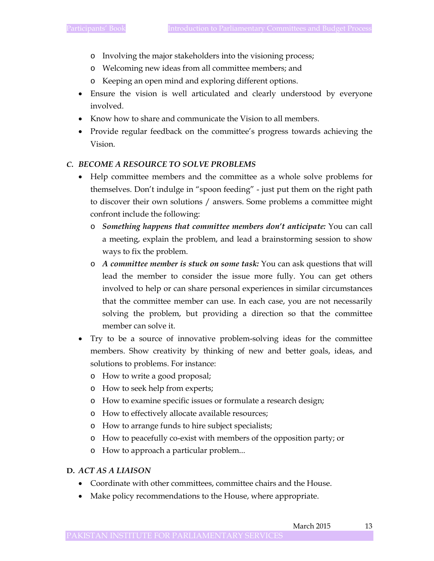- o Involving the major stakeholders into the visioning process;
- o Welcoming new ideas from all committee members; and
- o Keeping an open mind and exploring different options.
- Ensure the vision is well articulated and clearly understood by everyone involved.
- Know how to share and communicate the Vision to all members.
- Provide regular feedback on the committee's progress towards achieving the Vision.

#### *C. BECOME A RESOURCE TO SOLVE PROBLEMS*

- Help committee members and the committee as a whole solve problems for themselves. Don't indulge in "spoon feeding" - just put them on the right path to discover their own solutions / answers. Some problems a committee might confront include the following:
	- o *Something happens that committee members don't anticipate:* You can call a meeting, explain the problem, and lead a brainstorming session to show ways to fix the problem.
	- o *A committee member is stuck on some task:* You can ask questions that will lead the member to consider the issue more fully. You can get others involved to help or can share personal experiences in similar circumstances that the committee member can use. In each case, you are not necessarily solving the problem, but providing a direction so that the committee member can solve it.
- Try to be a source of innovative problem-solving ideas for the committee members. Show creativity by thinking of new and better goals, ideas, and solutions to problems. For instance:
	- o How to write a good proposal;
	- o How to seek help from experts;
	- o How to examine specific issues or formulate a research design;
	- o How to effectively allocate available resources;
	- o How to arrange funds to hire subject specialists;
	- o How to peacefully co-exist with members of the opposition party; or
	- o How to approach a particular problem...

#### **D.** *ACT AS A LIAISON*

- Coordinate with other committees, committee chairs and the House.
- Make policy recommendations to the House, where appropriate.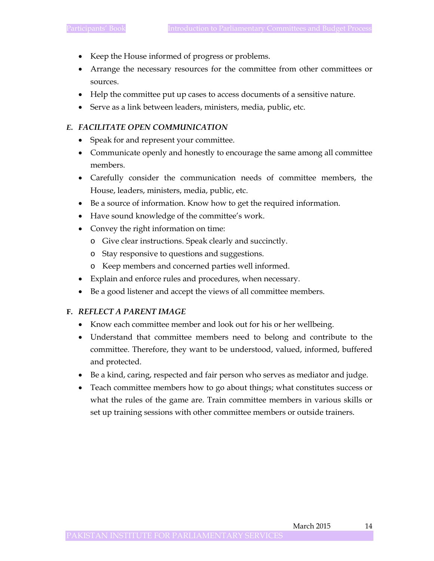- Keep the House informed of progress or problems.
- Arrange the necessary resources for the committee from other committees or sources.
- Help the committee put up cases to access documents of a sensitive nature.
- Serve as a link between leaders, ministers, media, public, etc.

#### *E. FACILITATE OPEN COMMUNICATION*

- Speak for and represent your committee.
- Communicate openly and honestly to encourage the same among all committee members.
- Carefully consider the communication needs of committee members, the House, leaders, ministers, media, public, etc.
- Be a source of information. Know how to get the required information.
- Have sound knowledge of the committee's work.
- Convey the right information on time:
	- o Give clear instructions. Speak clearly and succinctly.
	- o Stay responsive to questions and suggestions.
	- o Keep members and concerned parties well informed.
- Explain and enforce rules and procedures, when necessary.
- Be a good listener and accept the views of all committee members.

#### **F.** *REFLECT A PARENT IMAGE*

- Know each committee member and look out for his or her wellbeing.
- Understand that committee members need to belong and contribute to the committee. Therefore, they want to be understood, valued, informed, buffered and protected.
- Be a kind, caring, respected and fair person who serves as mediator and judge.
- Teach committee members how to go about things; what constitutes success or what the rules of the game are. Train committee members in various skills or set up training sessions with other committee members or outside trainers.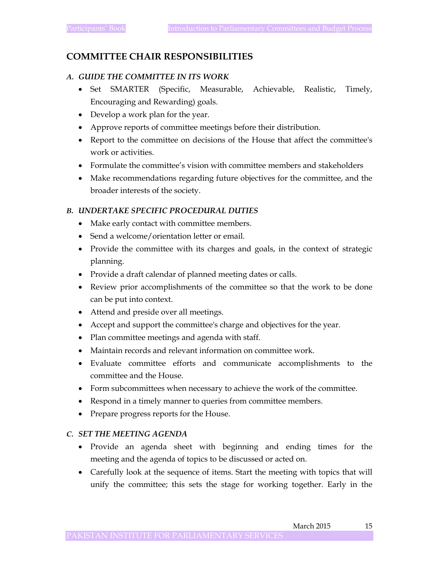### **COMMITTEE CHAIR RESPONSIBILITIES**

#### *A. GUIDE THE COMMITTEE IN ITS WORK*

- Set SMARTER (Specific, Measurable, Achievable, Realistic, Timely, Encouraging and Rewarding) goals.
- Develop a work plan for the year.
- Approve reports of committee meetings before their distribution.
- Report to the committee on decisions of the House that affect the committee's work or activities.
- Formulate the committee's vision with committee members and stakeholders
- Make recommendations regarding future objectives for the committee, and the broader interests of the society.

#### *B. UNDERTAKE SPECIFIC PROCEDURAL DUTIES*

- Make early contact with committee members.
- Send a welcome/orientation letter or email.
- Provide the committee with its charges and goals, in the context of strategic planning.
- Provide a draft calendar of planned meeting dates or calls.
- Review prior accomplishments of the committee so that the work to be done can be put into context.
- Attend and preside over all meetings.
- Accept and support the committee's charge and objectives for the year.
- Plan committee meetings and agenda with staff.
- Maintain records and relevant information on committee work.
- Evaluate committee efforts and communicate accomplishments to the committee and the House.
- Form subcommittees when necessary to achieve the work of the committee.
- Respond in a timely manner to queries from committee members.
- Prepare progress reports for the House.

#### *C. SET THE MEETING AGENDA*

- Provide an agenda sheet with beginning and ending times for the meeting and the agenda of topics to be discussed or acted on.
- Carefully look at the sequence of items. Start the meeting with topics that will unify the committee; this sets the stage for working together. Early in the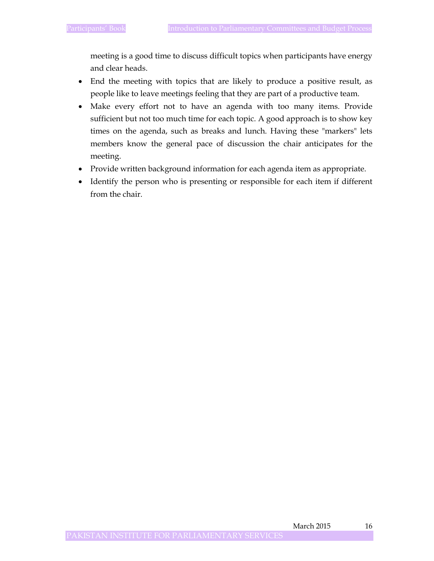meeting is a good time to discuss difficult topics when participants have energy and clear heads.

- End the meeting with topics that are likely to produce a positive result, as people like to leave meetings feeling that they are part of a productive team.
- Make every effort not to have an agenda with too many items. Provide sufficient but not too much time for each topic. A good approach is to show key times on the agenda, such as breaks and lunch. Having these "markers" lets members know the general pace of discussion the chair anticipates for the meeting.
- Provide written background information for each agenda item as appropriate.
- Identify the person who is presenting or responsible for each item if different from the chair.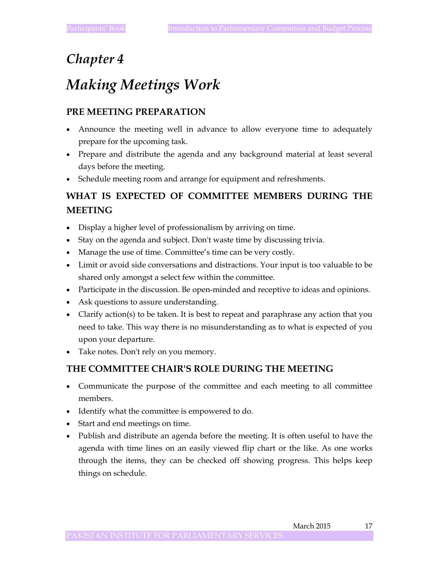# *Chapter 4*

# *Making Meetings Work*

### **PRE MEETING PREPARATION**

- Announce the meeting well in advance to allow everyone time to adequately prepare for the upcoming task.
- Prepare and distribute the agenda and any background material at least several days before the meeting.
- Schedule meeting room and arrange for equipment and refreshments.

## **WHAT IS EXPECTED OF COMMITTEE MEMBERS DURING THE MEETING**

- Display a higher level of professionalism by arriving on time.
- Stay on the agenda and subject. Don't waste time by discussing trivia.
- Manage the use of time. Committee's time can be very costly.
- Limit or avoid side conversations and distractions. Your input is too valuable to be shared only amongst a select few within the committee.
- Participate in the discussion. Be open-minded and receptive to ideas and opinions.
- Ask questions to assure understanding.
- Clarify action(s) to be taken. It is best to repeat and paraphrase any action that you need to take. This way there is no misunderstanding as to what is expected of you upon your departure.
- Take notes. Don't rely on you memory.

### **THE COMMITTEE CHAIR'S ROLE DURING THE MEETING**

- Communicate the purpose of the committee and each meeting to all committee members.
- Identify what the committee is empowered to do.
- Start and end meetings on time.
- Publish and distribute an agenda before the meeting. It is often useful to have the agenda with time lines on an easily viewed flip chart or the like. As one works through the items, they can be checked off showing progress. This helps keep things on schedule.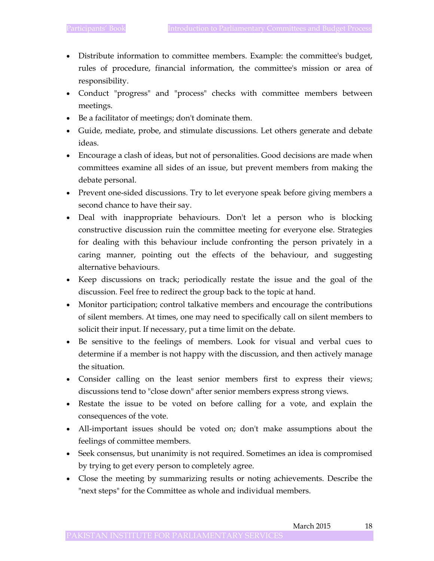- Distribute information to committee members. Example: the committee's budget, rules of procedure, financial information, the committee's mission or area of responsibility.
- Conduct "progress" and "process" checks with committee members between meetings.
- Be a facilitator of meetings; don't dominate them.
- Guide, mediate, probe, and stimulate discussions. Let others generate and debate ideas.
- Encourage a clash of ideas, but not of personalities. Good decisions are made when committees examine all sides of an issue, but prevent members from making the debate personal.
- Prevent one-sided discussions. Try to let everyone speak before giving members a second chance to have their say.
- Deal with inappropriate behaviours. Don't let a person who is blocking constructive discussion ruin the committee meeting for everyone else. Strategies for dealing with this behaviour include confronting the person privately in a caring manner, pointing out the effects of the behaviour, and suggesting alternative behaviours.
- Keep discussions on track; periodically restate the issue and the goal of the discussion. Feel free to redirect the group back to the topic at hand.
- Monitor participation; control talkative members and encourage the contributions of silent members. At times, one may need to specifically call on silent members to solicit their input. If necessary, put a time limit on the debate.
- Be sensitive to the feelings of members. Look for visual and verbal cues to determine if a member is not happy with the discussion, and then actively manage the situation.
- Consider calling on the least senior members first to express their views; discussions tend to "close down" after senior members express strong views.
- Restate the issue to be voted on before calling for a vote, and explain the consequences of the vote.
- All-important issues should be voted on; don't make assumptions about the feelings of committee members.
- Seek consensus, but unanimity is not required. Sometimes an idea is compromised by trying to get every person to completely agree.
- Close the meeting by summarizing results or noting achievements. Describe the "next steps" for the Committee as whole and individual members.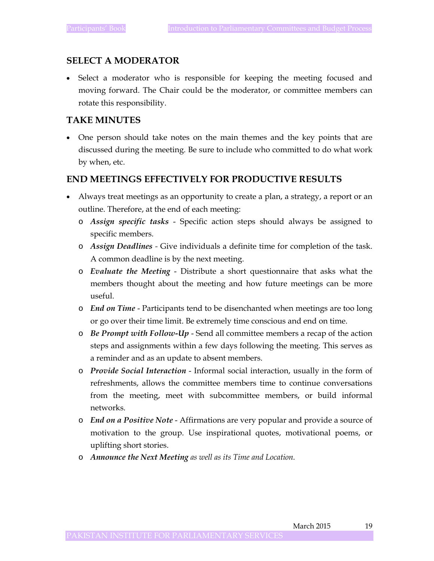#### **SELECT A MODERATOR**

• Select a moderator who is responsible for keeping the meeting focused and moving forward. The Chair could be the moderator, or committee members can rotate this responsibility.

#### **TAKE MINUTES**

 One person should take notes on the main themes and the key points that are discussed during the meeting. Be sure to include who committed to do what work by when, etc.

#### **END MEETINGS EFFECTIVELY FOR PRODUCTIVE RESULTS**

- Always treat meetings as an opportunity to create a plan, a strategy, a report or an outline. Therefore, at the end of each meeting:
	- o *Assign specific tasks* Specific action steps should always be assigned to specific members.
	- o *Assign Deadlines -* Give individuals a definite time for completion of the task. A common deadline is by the next meeting.
	- o *Evaluate the Meeting* Distribute a short questionnaire that asks what the members thought about the meeting and how future meetings can be more useful.
	- o *End on Time* Participants tend to be disenchanted when meetings are too long or go over their time limit. Be extremely time conscious and end on time.
	- o *Be Prompt with Follow-Up* Send all committee members a recap of the action steps and assignments within a few days following the meeting. This serves as a reminder and as an update to absent members.
	- o *Provide Social Interaction* Informal social interaction, usually in the form of refreshments, allows the committee members time to continue conversations from the meeting, meet with subcommittee members, or build informal networks.
	- o *End on a Positive Note* Affirmations are very popular and provide a source of motivation to the group. Use inspirational quotes, motivational poems, or uplifting short stories.
	- o *Announce the Next Meeting as well as its Time and Location.*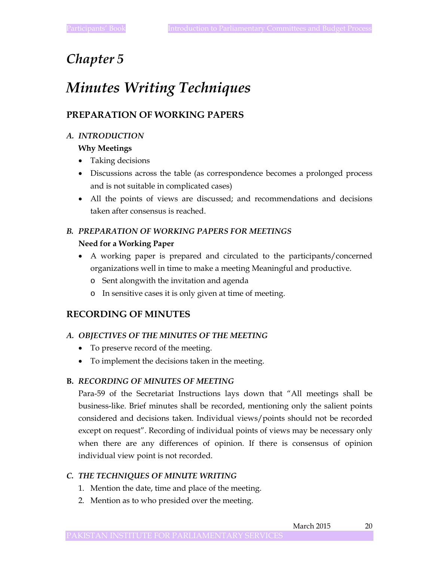# *Chapter 5*

# *Minutes Writing Techniques*

### **PREPARATION OF WORKING PAPERS**

#### *A. INTRODUCTION*

#### **Why Meetings**

- Taking decisions
- Discussions across the table (as correspondence becomes a prolonged process and is not suitable in complicated cases)
- All the points of views are discussed; and recommendations and decisions taken after consensus is reached.

#### *B. PREPARATION OF WORKING PAPERS FOR MEETINGS*

#### **Need for a Working Paper**

- A working paper is prepared and circulated to the participants/concerned organizations well in time to make a meeting Meaningful and productive.
	- o Sent alongwith the invitation and agenda
	- o In sensitive cases it is only given at time of meeting.

### **RECORDING OF MINUTES**

#### *A. OBJECTIVES OF THE MINUTES OF THE MEETING*

- To preserve record of the meeting.
- To implement the decisions taken in the meeting.

#### **B.** *RECORDING OF MINUTES OF MEETING*

Para-59 of the Secretariat Instructions lays down that "All meetings shall be business-like. Brief minutes shall be recorded, mentioning only the salient points considered and decisions taken. Individual views/points should not be recorded except on request". Recording of individual points of views may be necessary only when there are any differences of opinion. If there is consensus of opinion individual view point is not recorded.

#### *C. THE TECHNIQUES OF MINUTE WRITING*

- 1. Mention the date, time and place of the meeting.
- 2. Mention as to who presided over the meeting.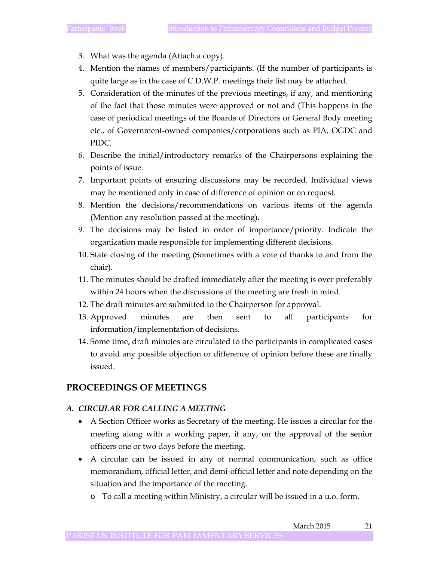- 3. What was the agenda (Attach a copy).
- 4. Mention the names of members/participants. (If the number of participants is quite large as in the case of C.D.W.P. meetings their list may be attached.
- 5. Consideration of the minutes of the previous meetings, if any, and mentioning of the fact that those minutes were approved or not and (This happens in the case of periodical meetings of the Boards of Directors or General Body meeting etc., of Government-owned companies/corporations such as PIA, OGDC and PIDC.
- 6. Describe the initial/introductory remarks of the Chairpersons explaining the points of issue.
- 7. Important points of ensuring discussions may be recorded. Individual views may be mentioned only in case of difference of opinion or on request.
- 8. Mention the decisions/recommendations on various items of the agenda (Mention any resolution passed at the meeting).
- 9. The decisions may be listed in order of importance/priority. Indicate the organization made responsible for implementing different decisions.
- 10. State closing of the meeting (Sometimes with a vote of thanks to and from the chair).
- 11. The minutes should be drafted immediately after the meeting is over preferably within 24 hours when the discussions of the meeting are fresh in mind.
- 12. The draft minutes are submitted to the Chairperson for approval.
- 13. Approved minutes are then sent to all participants for information/implementation of decisions.
- 14. Some time, draft minutes are circulated to the participants in complicated cases to avoid any possible objection or difference of opinion before these are finally issued.

#### **PROCEEDINGS OF MEETINGS**

#### *A. CIRCULAR FOR CALLING A MEETING*

- A Section Officer works as Secretary of the meeting. He issues a circular for the meeting along with a working paper, if any, on the approval of the senior officers one or two days before the meeting.
- A circular can be issued in any of normal communication, such as office memorandum, official letter, and demi-official letter and note depending on the situation and the importance of the meeting.
	- o To call a meeting within Ministry, a circular will be issued in a u.o. form.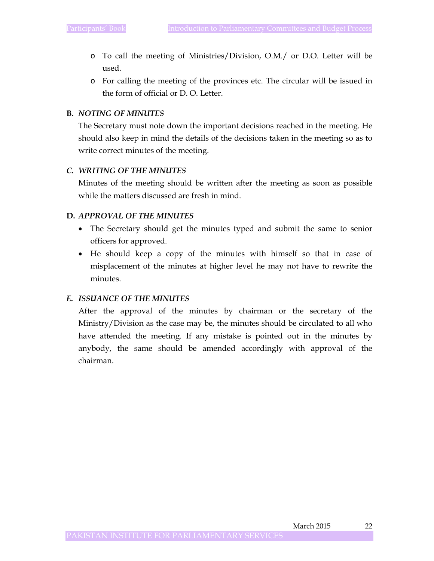- o To call the meeting of Ministries/Division, O.M./ or D.O. Letter will be used.
- o For calling the meeting of the provinces etc. The circular will be issued in the form of official or D. O. Letter.

#### **B.** *NOTING OF MINUTES*

The Secretary must note down the important decisions reached in the meeting. He should also keep in mind the details of the decisions taken in the meeting so as to write correct minutes of the meeting.

#### *C. WRITING OF THE MINUTES*

Minutes of the meeting should be written after the meeting as soon as possible while the matters discussed are fresh in mind.

#### **D.** *APPROVAL OF THE MINUTES*

- The Secretary should get the minutes typed and submit the same to senior officers for approved.
- He should keep a copy of the minutes with himself so that in case of misplacement of the minutes at higher level he may not have to rewrite the minutes.

#### *E. ISSUANCE OF THE MINUTES*

After the approval of the minutes by chairman or the secretary of the Ministry/Division as the case may be, the minutes should be circulated to all who have attended the meeting. If any mistake is pointed out in the minutes by anybody, the same should be amended accordingly with approval of the chairman.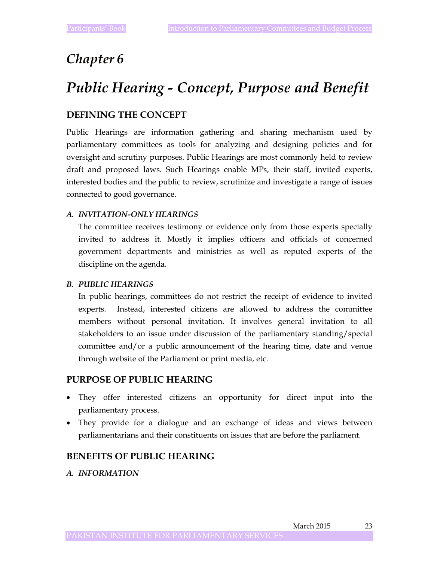## *Chapter 6*

# *Public Hearing - Concept, Purpose and Benefit*

#### **DEFINING THE CONCEPT**

Public Hearings are information gathering and sharing mechanism used by parliamentary committees as tools for analyzing and designing policies and for oversight and scrutiny purposes. Public Hearings are most commonly held to review draft and proposed laws. Such Hearings enable MPs, their staff, invited experts, interested bodies and the public to review, scrutinize and investigate a range of issues connected to good governance.

#### *A. INVITATION-ONLY HEARINGS*

The committee receives testimony or evidence only from those experts specially invited to address it. Mostly it implies officers and officials of concerned government departments and ministries as well as reputed experts of the discipline on the agenda.

#### *B. PUBLIC HEARINGS*

In public hearings, committees do not restrict the receipt of evidence to invited experts. Instead, interested citizens are allowed to address the committee members without personal invitation. It involves general invitation to all stakeholders to an issue under discussion of the parliamentary standing/special committee and/or a public announcement of the hearing time, date and venue through website of the Parliament or print media, etc.

#### **PURPOSE OF PUBLIC HEARING**

- They offer interested citizens an opportunity for direct input into the parliamentary process.
- They provide for a dialogue and an exchange of ideas and views between parliamentarians and their constituents on issues that are before the parliament.

#### **BENEFITS OF PUBLIC HEARING**

#### *A. INFORMATION*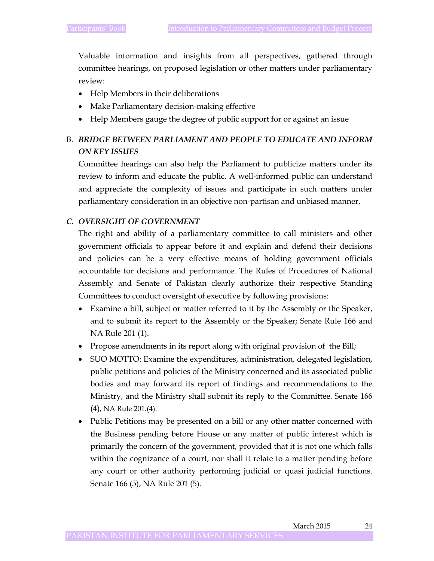Valuable information and insights from all perspectives, gathered through committee hearings, on proposed legislation or other matters under parliamentary review:

- Help Members in their deliberations
- Make Parliamentary decision-making effective
- Help Members gauge the degree of public support for or against an issue

## B. *BRIDGE BETWEEN PARLIAMENT AND PEOPLE TO EDUCATE AND INFORM ON KEY ISSUES*

Committee hearings can also help the Parliament to publicize matters under its review to inform and educate the public. A well-informed public can understand and appreciate the complexity of issues and participate in such matters under parliamentary consideration in an objective non-partisan and unbiased manner.

#### *C. OVERSIGHT OF GOVERNMENT*

The right and ability of a parliamentary committee to call ministers and other government officials to appear before it and explain and defend their decisions and policies can be a very effective means of holding government officials accountable for decisions and performance. The Rules of Procedures of National Assembly and Senate of Pakistan clearly authorize their respective Standing Committees to conduct oversight of executive by following provisions:

- Examine a bill, subject or matter referred to it by the Assembly or the Speaker, and to submit its report to the Assembly or the Speaker; Senate Rule 166 and NA Rule 201 (1).
- Propose amendments in its report along with original provision of the Bill;
- SUO MOTTO: Examine the expenditures, administration, delegated legislation, public petitions and policies of the Ministry concerned and its associated public bodies and may forward its report of findings and recommendations to the Ministry, and the Ministry shall submit its reply to the Committee. Senate 166 (4), NA Rule 201.(4).
- Public Petitions may be presented on a bill or any other matter concerned with the Business pending before House or any matter of public interest which is primarily the concern of the government, provided that it is not one which falls within the cognizance of a court, nor shall it relate to a matter pending before any court or other authority performing judicial or quasi judicial functions. Senate 166 (5), NA Rule 201 (5).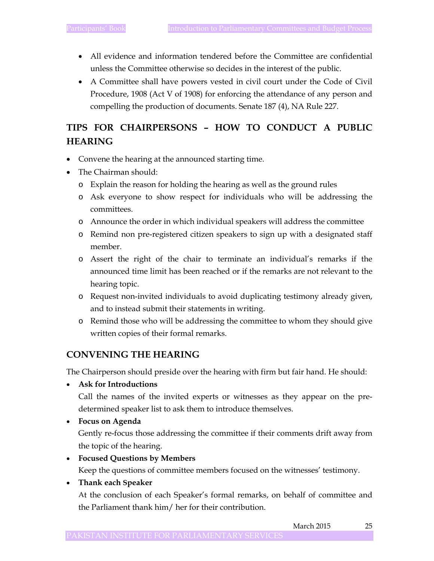- All evidence and information tendered before the Committee are confidential unless the Committee otherwise so decides in the interest of the public.
- A Committee shall have powers vested in civil court under the Code of Civil Procedure, 1908 (Act V of 1908) for enforcing the attendance of any person and compelling the production of documents. Senate 187 (4), NA Rule 227.

# **TIPS FOR CHAIRPERSONS – HOW TO CONDUCT A PUBLIC HEARING**

- Convene the hearing at the announced starting time.
- The Chairman should:
	- o Explain the reason for holding the hearing as well as the ground rules
	- o Ask everyone to show respect for individuals who will be addressing the committees.
	- o Announce the order in which individual speakers will address the committee
	- o Remind non pre-registered citizen speakers to sign up with a designated staff member.
	- o Assert the right of the chair to terminate an individual's remarks if the announced time limit has been reached or if the remarks are not relevant to the hearing topic.
	- o Request non-invited individuals to avoid duplicating testimony already given, and to instead submit their statements in writing.
	- o Remind those who will be addressing the committee to whom they should give written copies of their formal remarks.

## **CONVENING THE HEARING**

The Chairperson should preside over the hearing with firm but fair hand. He should:

**Ask for Introductions**

Call the names of the invited experts or witnesses as they appear on the predetermined speaker list to ask them to introduce themselves.

**Focus on Agenda**

Gently re-focus those addressing the committee if their comments drift away from the topic of the hearing.

**Focused Questions by Members**

Keep the questions of committee members focused on the witnesses' testimony.

#### **Thank each Speaker**

At the conclusion of each Speaker's formal remarks, on behalf of committee and the Parliament thank him/ her for their contribution.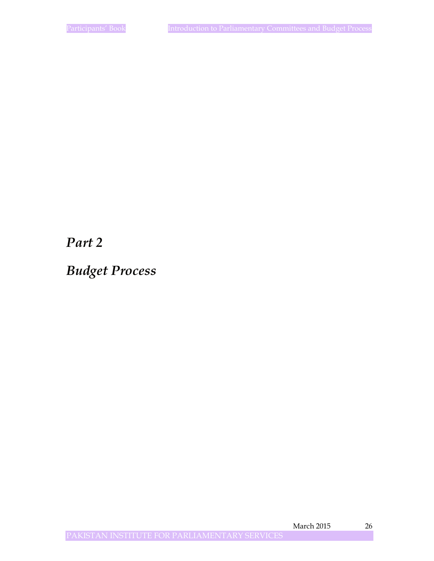*Part 2*

*Budget Process*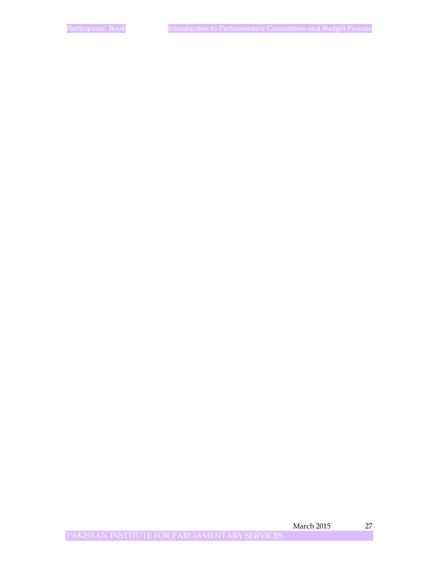March 2015 27 PAKISTAN INSTITUTE FOR PARLIAMENTARY SERVICES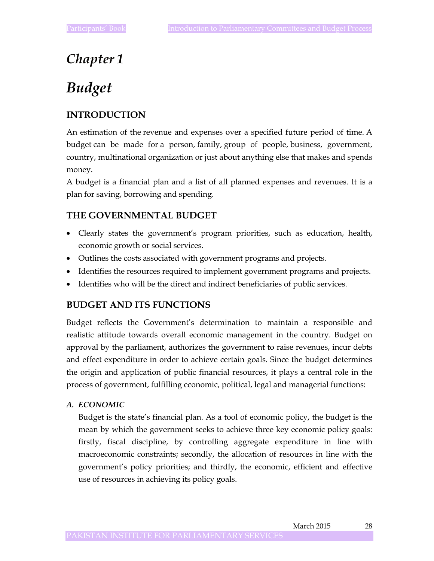# *Chapter 1*

# *Budget*

# **INTRODUCTION**

An estimation of the revenue and expenses over a specified future period of time. A budget can be made for a person, family, group of people, business, government, country, multinational organization or just about anything else that makes and spends money.

A budget is a financial plan and a list of all planned expenses and revenues. It is a plan for saving, borrowing and spending.

## **THE GOVERNMENTAL BUDGET**

- Clearly states the government's program priorities, such as education, health, economic growth or social services.
- Outlines the costs associated with government programs and projects.
- Identifies the resources required to implement government programs and projects.
- Identifies who will be the direct and indirect beneficiaries of public services.

## **BUDGET AND ITS FUNCTIONS**

Budget reflects the Government's determination to maintain a responsible and realistic attitude towards overall economic management in the country. Budget on approval by the parliament, authorizes the government to raise revenues, incur debts and effect expenditure in order to achieve certain goals. Since the budget determines the origin and application of public financial resources, it plays a central role in the process of government, fulfilling economic, political, legal and managerial functions:

#### *A. ECONOMIC*

Budget is the state's financial plan. As a tool of economic policy, the budget is the mean by which the government seeks to achieve three key economic policy goals: firstly, fiscal discipline, by controlling aggregate expenditure in line with macroeconomic constraints; secondly, the allocation of resources in line with the government's policy priorities; and thirdly, the economic, efficient and effective use of resources in achieving its policy goals.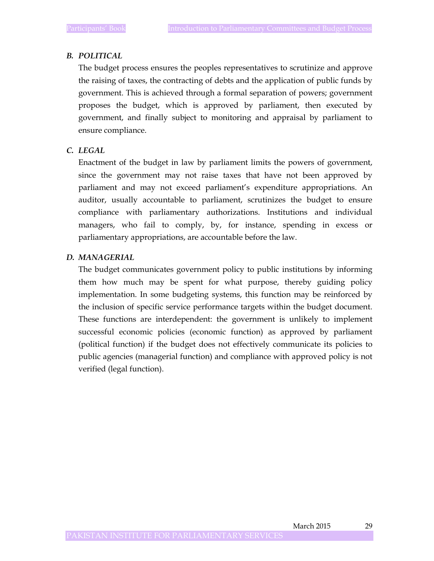#### *B. POLITICAL*

The budget process ensures the peoples representatives to scrutinize and approve the raising of taxes, the contracting of debts and the application of public funds by government. This is achieved through a formal separation of powers; government proposes the budget, which is approved by parliament, then executed by government, and finally subject to monitoring and appraisal by parliament to ensure compliance.

#### *C. LEGAL*

Enactment of the budget in law by parliament limits the powers of government, since the government may not raise taxes that have not been approved by parliament and may not exceed parliament's expenditure appropriations. An auditor, usually accountable to parliament, scrutinizes the budget to ensure compliance with parliamentary authorizations. Institutions and individual managers, who fail to comply, by, for instance, spending in excess or parliamentary appropriations, are accountable before the law.

#### *D. MANAGERIAL*

The budget communicates government policy to public institutions by informing them how much may be spent for what purpose, thereby guiding policy implementation. In some budgeting systems, this function may be reinforced by the inclusion of specific service performance targets within the budget document. These functions are interdependent: the government is unlikely to implement successful economic policies (economic function) as approved by parliament (political function) if the budget does not effectively communicate its policies to public agencies (managerial function) and compliance with approved policy is not verified (legal function).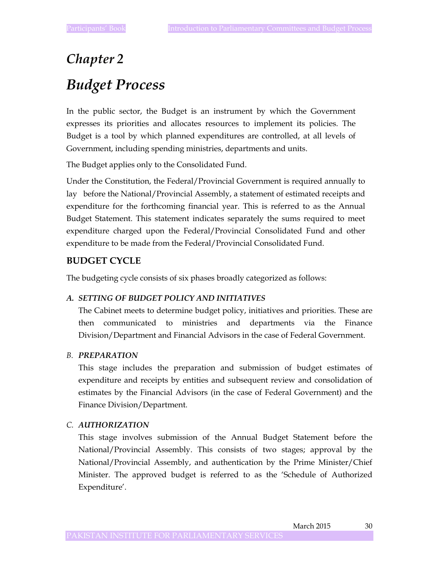# *Chapter 2 Budget Process*

In the public sector, the Budget is an instrument by which the Government expresses its priorities and allocates resources to implement its policies. The Budget is a tool by which planned expenditures are controlled, at all levels of Government, including spending ministries, departments and units.

The Budget applies only to the Consolidated Fund.

Under the Constitution, the Federal/Provincial Government is required annually to lay before the National/Provincial Assembly, a statement of estimated receipts and expenditure for the forthcoming financial year. This is referred to as the Annual Budget Statement. This statement indicates separately the sums required to meet expenditure charged upon the Federal/Provincial Consolidated Fund and other expenditure to be made from the Federal/Provincial Consolidated Fund.

#### **BUDGET CYCLE**

The budgeting cycle consists of six phases broadly categorized as follows:

#### *A. SETTING OF BUDGET POLICY AND INITIATIVES*

The Cabinet meets to determine budget policy, initiatives and priorities. These are then communicated to ministries and departments via the Finance Division/Department and Financial Advisors in the case of Federal Government.

#### *B. PREPARATION*

This stage includes the preparation and submission of budget estimates of expenditure and receipts by entities and subsequent review and consolidation of estimates by the Financial Advisors (in the case of Federal Government) and the Finance Division/Department.

#### *C. AUTHORIZATION*

This stage involves submission of the Annual Budget Statement before the National/Provincial Assembly. This consists of two stages; approval by the National/Provincial Assembly, and authentication by the Prime Minister/Chief Minister. The approved budget is referred to as the 'Schedule of Authorized Expenditure'.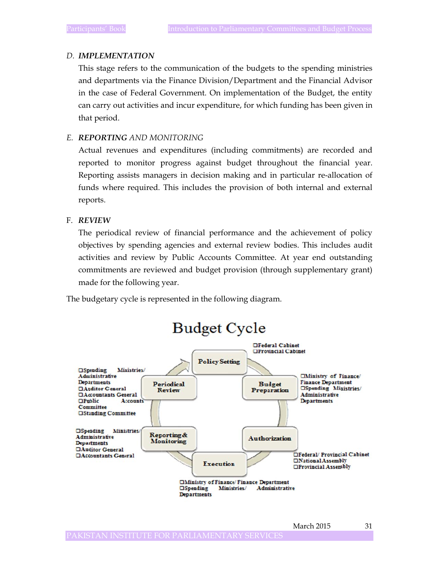#### *D. IMPLEMENTATION*

This stage refers to the communication of the budgets to the spending ministries and departments via the Finance Division/Department and the Financial Advisor in the case of Federal Government. On implementation of the Budget, the entity can carry out activities and incur expenditure, for which funding has been given in that t period.

#### *E. REPORTING AND MONITORING*

Actual revenues and expenditures (including commitments) are recorded and reported to monitor progress against budget throughout the financial year. Reporting assists managers in decision making and in particular re-allocation of funds where required. This includes the provision of both internal and external rep orts.

#### F. *REVIEW*

The periodical review of financial performance and the achievement of policy objectives by spending agencies and external review bodies. This includes audit activities and review by Public Accounts Committee. At year end outstanding commitments are reviewed and budget provision (through supplementary grant) made for the following year.

The budgetary cycle is represented in the following diagram.



March 2015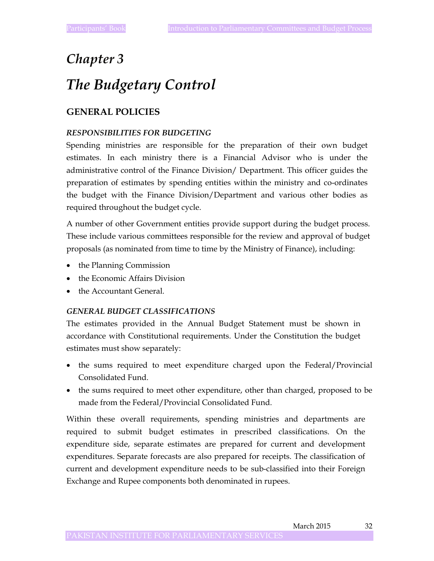# *Chapter 3 The Budgetary Control*

## **GENERAL POLICIES**

#### *RESPONSIBILITIES FOR BUDGETING*

Spending ministries are responsible for the preparation of their own budget estimates. In each ministry there is a Financial Advisor who is under the administrative control of the Finance Division/ Department. This officer guides the preparation of estimates by spending entities within the ministry and co-ordinates the budget with the Finance Division/Department and various other bodies as required throughout the budget cycle.

A number of other Government entities provide support during the budget process. These include various committees responsible for the review and approval of budget proposals (as nominated from time to time by the Ministry of Finance), including:

- the Planning Commission
- the Economic Affairs Division
- the Accountant General.

#### *GENERAL BUDGET CLASSIFICATIONS*

The estimates provided in the Annual Budget Statement must be shown in accordance with Constitutional requirements. Under the Constitution the budget estimates must show separately:

- the sums required to meet expenditure charged upon the Federal/Provincial Consolidated Fund.
- the sums required to meet other expenditure, other than charged, proposed to be made from the Federal/Provincial Consolidated Fund.

Within these overall requirements, spending ministries and departments are required to submit budget estimates in prescribed classifications. On the expenditure side, separate estimates are prepared for current and development expenditures. Separate forecasts are also prepared for receipts. The classification of current and development expenditure needs to be sub-classified into their Foreign Exchange and Rupee components both denominated in rupees.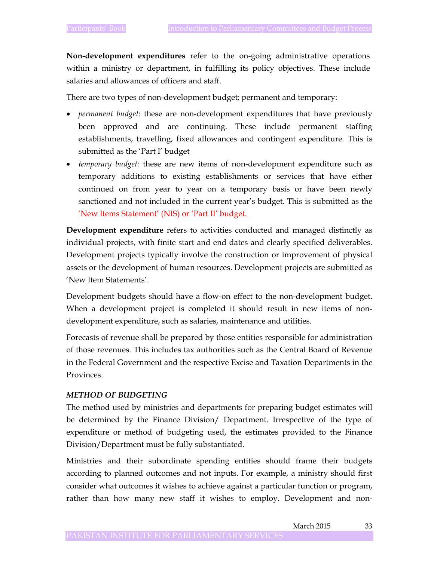**Non-development expenditures** refer to the on-going administrative operations within a ministry or department, in fulfilling its policy objectives. These include salaries and allowances of officers and staff.

There are two types of non-development budget; permanent and temporary:

- *permanent budget*: these are non-development expenditures that have previously been approved and are continuing. These include permanent staffing establishments, travelling, fixed allowances and contingent expenditure. This is submitted as the 'Part I' budget
- *temporary budget:* these are new items of non-development expenditure such as temporary additions to existing establishments or services that have either continued on from year to year on a temporary basis or have been newly sanctioned and not included in the current year's budget. This is submitted as the 'New Items Statement' (NIS) or 'Part II' budget.

**Development expenditure** refers to activities conducted and managed distinctly as individual projects, with finite start and end dates and clearly specified deliverables. Development projects typically involve the construction or improvement of physical assets or the development of human resources. Development projects are submitted as 'New Item Statements'.

Development budgets should have a flow-on effect to the non-development budget. When a development project is completed it should result in new items of nondevelopment expenditure, such as salaries, maintenance and utilities.

Forecasts of revenue shall be prepared by those entities responsible for administration of those revenues. This includes tax authorities such as the Central Board of Revenue in the Federal Government and the respective Excise and Taxation Departments in the Provinces.

#### *METHOD OF BUDGETING*

The method used by ministries and departments for preparing budget estimates will be determined by the Finance Division/ Department. Irrespective of the type of expenditure or method of budgeting used, the estimates provided to the Finance Division/Department must be fully substantiated.

Ministries and their subordinate spending entities should frame their budgets according to planned outcomes and not inputs. For example, a ministry should first consider what outcomes it wishes to achieve against a particular function or program, rather than how many new staff it wishes to employ. Development and non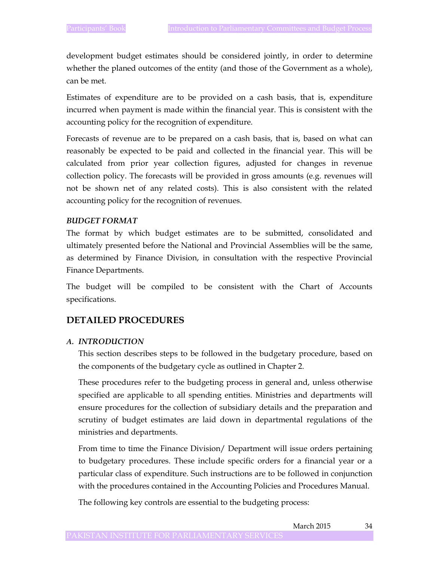development budget estimates should be considered jointly, in order to determine whether the planed outcomes of the entity (and those of the Government as a whole), can be met.

Estimates of expenditure are to be provided on a cash basis, that is, expenditure incurred when payment is made within the financial year. This is consistent with the accounting policy for the recognition of expenditure.

Forecasts of revenue are to be prepared on a cash basis, that is, based on what can reasonably be expected to be paid and collected in the financial year. This will be calculated from prior year collection figures, adjusted for changes in revenue collection policy. The forecasts will be provided in gross amounts (e.g. revenues will not be shown net of any related costs). This is also consistent with the related accounting policy for the recognition of revenues.

#### *BUDGET FORMAT*

The format by which budget estimates are to be submitted, consolidated and ultimately presented before the National and Provincial Assemblies will be the same, as determined by Finance Division, in consultation with the respective Provincial Finance Departments.

The budget will be compiled to be consistent with the Chart of Accounts specifications.

#### **DETAILED PROCEDURES**

#### *A. INTRODUCTION*

This section describes steps to be followed in the budgetary procedure, based on the components of the budgetary cycle as outlined in Chapter 2.

These procedures refer to the budgeting process in general and, unless otherwise specified are applicable to all spending entities. Ministries and departments will ensure procedures for the collection of subsidiary details and the preparation and scrutiny of budget estimates are laid down in departmental regulations of the ministries and departments.

From time to time the Finance Division/ Department will issue orders pertaining to budgetary procedures. These include specific orders for a financial year or a particular class of expenditure. Such instructions are to be followed in conjunction with the procedures contained in the Accounting Policies and Procedures Manual.

The following key controls are essential to the budgeting process: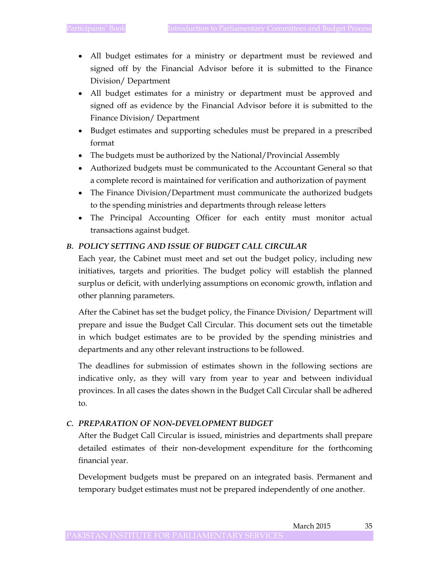- All budget estimates for a ministry or department must be reviewed and signed off by the Financial Advisor before it is submitted to the Finance Division/ Department
- All budget estimates for a ministry or department must be approved and signed off as evidence by the Financial Advisor before it is submitted to the Finance Division/ Department
- Budget estimates and supporting schedules must be prepared in a prescribed format
- The budgets must be authorized by the National/Provincial Assembly
- Authorized budgets must be communicated to the Accountant General so that a complete record is maintained for verification and authorization of payment
- The Finance Division/Department must communicate the authorized budgets to the spending ministries and departments through release letters
- The Principal Accounting Officer for each entity must monitor actual transactions against budget.

#### *B. POLICY SETTING AND ISSUE OF BUDGET CALL CIRCULAR*

Each year, the Cabinet must meet and set out the budget policy, including new initiatives, targets and priorities. The budget policy will establish the planned surplus or deficit, with underlying assumptions on economic growth, inflation and other planning parameters.

After the Cabinet has set the budget policy, the Finance Division/ Department will prepare and issue the Budget Call Circular. This document sets out the timetable in which budget estimates are to be provided by the spending ministries and departments and any other relevant instructions to be followed.

The deadlines for submission of estimates shown in the following sections are indicative only, as they will vary from year to year and between individual provinces. In all cases the dates shown in the Budget Call Circular shall be adhered to.

#### *C. PREPARATION OF NON-DEVELOPMENT BUDGET*

After the Budget Call Circular is issued, ministries and departments shall prepare detailed estimates of their non-development expenditure for the forthcoming financial year.

Development budgets must be prepared on an integrated basis. Permanent and temporary budget estimates must not be prepared independently of one another.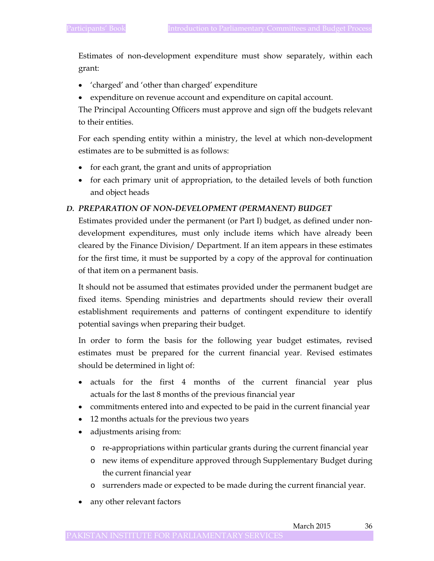Estimates of non-development expenditure must show separately, within each grant:

- 'charged' and 'other than charged' expenditure
- expenditure on revenue account and expenditure on capital account.

The Principal Accounting Officers must approve and sign off the budgets relevant to their entities.

For each spending entity within a ministry, the level at which non-development estimates are to be submitted is as follows:

- for each grant, the grant and units of appropriation
- for each primary unit of appropriation, to the detailed levels of both function and object heads

#### *D. PREPARATION OF NON-DEVELOPMENT (PERMANENT) BUDGET*

Estimates provided under the permanent (or Part I) budget, as defined under nondevelopment expenditures, must only include items which have already been cleared by the Finance Division/ Department. If an item appears in these estimates for the first time, it must be supported by a copy of the approval for continuation of that item on a permanent basis.

It should not be assumed that estimates provided under the permanent budget are fixed items. Spending ministries and departments should review their overall establishment requirements and patterns of contingent expenditure to identify potential savings when preparing their budget.

In order to form the basis for the following year budget estimates, revised estimates must be prepared for the current financial year. Revised estimates should be determined in light of:

- actuals for the first 4 months of the current financial year plus actuals for the last 8 months of the previous financial year
- commitments entered into and expected to be paid in the current financial year
- 12 months actuals for the previous two years
- adjustments arising from:
	- o re-appropriations within particular grants during the current financial year
	- o new items of expenditure approved through Supplementary Budget during the current financial year
	- o surrenders made or expected to be made during the current financial year.
- any other relevant factors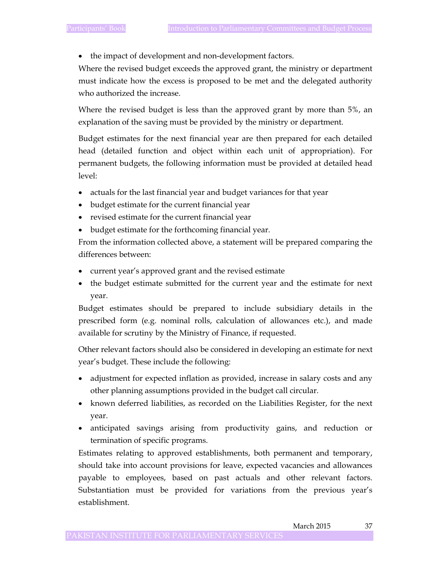• the impact of development and non-development factors.

Where the revised budget exceeds the approved grant, the ministry or department must indicate how the excess is proposed to be met and the delegated authority who authorized the increase.

Where the revised budget is less than the approved grant by more than 5%, an explanation of the saving must be provided by the ministry or department.

Budget estimates for the next financial year are then prepared for each detailed head (detailed function and object within each unit of appropriation). For permanent budgets, the following information must be provided at detailed head level:

- actuals for the last financial year and budget variances for that year
- budget estimate for the current financial year
- revised estimate for the current financial year
- budget estimate for the forthcoming financial year.

From the information collected above, a statement will be prepared comparing the differences between:

- current year's approved grant and the revised estimate
- the budget estimate submitted for the current year and the estimate for next year.

Budget estimates should be prepared to include subsidiary details in the prescribed form (e.g. nominal rolls, calculation of allowances etc.), and made available for scrutiny by the Ministry of Finance, if requested.

Other relevant factors should also be considered in developing an estimate for next year's budget. These include the following:

- adjustment for expected inflation as provided, increase in salary costs and any other planning assumptions provided in the budget call circular.
- known deferred liabilities, as recorded on the Liabilities Register, for the next year.
- anticipated savings arising from productivity gains, and reduction or termination of specific programs.

Estimates relating to approved establishments, both permanent and temporary, should take into account provisions for leave, expected vacancies and allowances payable to employees, based on past actuals and other relevant factors. Substantiation must be provided for variations from the previous year's establishment.

March 2015 37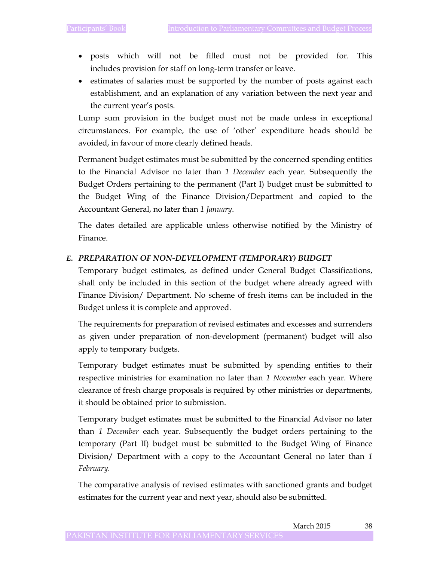- posts which will not be filled must not be provided for. This includes provision for staff on long-term transfer or leave.
- estimates of salaries must be supported by the number of posts against each establishment, and an explanation of any variation between the next year and the current year's posts.

Lump sum provision in the budget must not be made unless in exceptional circumstances. For example, the use of 'other' expenditure heads should be avoided, in favour of more clearly defined heads.

Permanent budget estimates must be submitted by the concerned spending entities to the Financial Advisor no later than *1 December* each year. Subsequently the Budget Orders pertaining to the permanent (Part I) budget must be submitted to the Budget Wing of the Finance Division/Department and copied to the Accountant General, no later than *1 January*.

The dates detailed are applicable unless otherwise notified by the Ministry of Finance.

#### *E. PREPARATION OF NON-DEVELOPMENT (TEMPORARY) BUDGET*

Temporary budget estimates, as defined under General Budget Classifications, shall only be included in this section of the budget where already agreed with Finance Division/ Department. No scheme of fresh items can be included in the Budget unless it is complete and approved.

The requirements for preparation of revised estimates and excesses and surrenders as given under preparation of non-development (permanent) budget will also apply to temporary budgets.

Temporary budget estimates must be submitted by spending entities to their respective ministries for examination no later than *1 November* each year. Where clearance of fresh charge proposals is required by other ministries or departments, it should be obtained prior to submission.

Temporary budget estimates must be submitted to the Financial Advisor no later than *1 December* each year. Subsequently the budget orders pertaining to the temporary (Part II) budget must be submitted to the Budget Wing of Finance Division/ Department with a copy to the Accountant General no later than *1 February.*

The comparative analysis of revised estimates with sanctioned grants and budget estimates for the current year and next year, should also be submitted.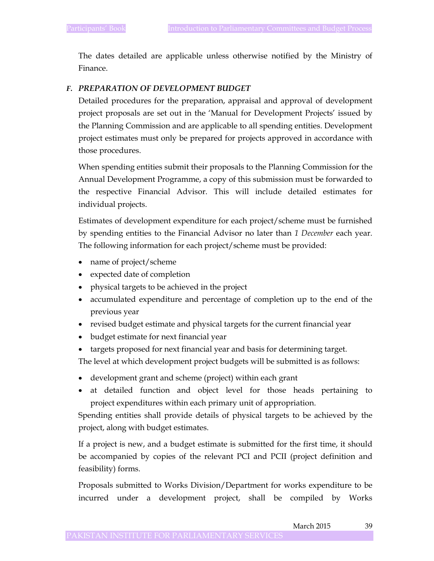The dates detailed are applicable unless otherwise notified by the Ministry of Finance.

#### *F. PREPARATION OF DEVELOPMENT BUDGET*

Detailed procedures for the preparation, appraisal and approval of development project proposals are set out in the 'Manual for Development Projects' issued by the Planning Commission and are applicable to all spending entities. Development project estimates must only be prepared for projects approved in accordance with those procedures.

When spending entities submit their proposals to the Planning Commission for the Annual Development Programme, a copy of this submission must be forwarded to the respective Financial Advisor. This will include detailed estimates for individual projects.

Estimates of development expenditure for each project/scheme must be furnished by spending entities to the Financial Advisor no later than *1 December* each year. The following information for each project/scheme must be provided:

- name of project/scheme
- expected date of completion
- physical targets to be achieved in the project
- accumulated expenditure and percentage of completion up to the end of the previous year
- revised budget estimate and physical targets for the current financial year
- budget estimate for next financial year
- targets proposed for next financial year and basis for determining target.

The level at which development project budgets will be submitted is as follows:

- development grant and scheme (project) within each grant
- at detailed function and object level for those heads pertaining to project expenditures within each primary unit of appropriation.

Spending entities shall provide details of physical targets to be achieved by the project, along with budget estimates.

If a project is new, and a budget estimate is submitted for the first time, it should be accompanied by copies of the relevant PCI and PCII (project definition and feasibility) forms.

Proposals submitted to Works Division/Department for works expenditure to be incurred under a development project, shall be compiled by Works

March 2015 39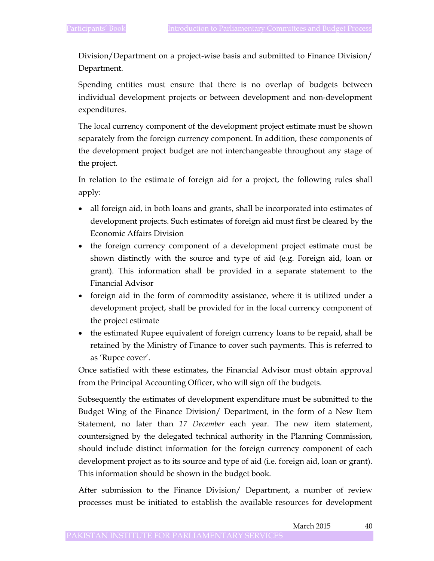Division/Department on a project-wise basis and submitted to Finance Division/ Department.

Spending entities must ensure that there is no overlap of budgets between individual development projects or between development and non-development expenditures.

The local currency component of the development project estimate must be shown separately from the foreign currency component. In addition, these components of the development project budget are not interchangeable throughout any stage of the project.

In relation to the estimate of foreign aid for a project, the following rules shall apply:

- all foreign aid, in both loans and grants, shall be incorporated into estimates of development projects. Such estimates of foreign aid must first be cleared by the Economic Affairs Division
- the foreign currency component of a development project estimate must be shown distinctly with the source and type of aid (e.g. Foreign aid, loan or grant). This information shall be provided in a separate statement to the Financial Advisor
- foreign aid in the form of commodity assistance, where it is utilized under a development project, shall be provided for in the local currency component of the project estimate
- the estimated Rupee equivalent of foreign currency loans to be repaid, shall be retained by the Ministry of Finance to cover such payments. This is referred to as 'Rupee cover'.

Once satisfied with these estimates, the Financial Advisor must obtain approval from the Principal Accounting Officer, who will sign off the budgets.

Subsequently the estimates of development expenditure must be submitted to the Budget Wing of the Finance Division/ Department, in the form of a New Item Statement, no later than *17 December* each year. The new item statement, countersigned by the delegated technical authority in the Planning Commission, should include distinct information for the foreign currency component of each development project as to its source and type of aid (i.e. foreign aid, loan or grant). This information should be shown in the budget book.

After submission to the Finance Division/ Department, a number of review processes must be initiated to establish the available resources for development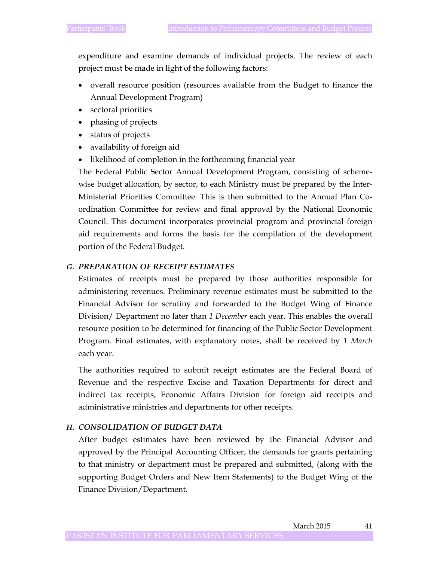expenditure and examine demands of individual projects. The review of each project must be made in light of the following factors:

- overall resource position (resources available from the Budget to finance the Annual Development Program)
- sectoral priorities
- phasing of projects
- status of projects
- availability of foreign aid
- likelihood of completion in the forthcoming financial year

The Federal Public Sector Annual Development Program, consisting of schemewise budget allocation, by sector, to each Ministry must be prepared by the Inter-Ministerial Priorities Committee. This is then submitted to the Annual Plan Coordination Committee for review and final approval by the National Economic Council. This document incorporates provincial program and provincial foreign aid requirements and forms the basis for the compilation of the development portion of the Federal Budget.

#### *G. PREPARATION OF RECEIPT ESTIMATES*

Estimates of receipts must be prepared by those authorities responsible for administering revenues. Preliminary revenue estimates must be submitted to the Financial Advisor for scrutiny and forwarded to the Budget Wing of Finance Division/ Department no later than *1 December* each year. This enables the overall resource position to be determined for financing of the Public Sector Development Program. Final estimates, with explanatory notes, shall be received by *1 March* each year.

The authorities required to submit receipt estimates are the Federal Board of Revenue and the respective Excise and Taxation Departments for direct and indirect tax receipts, Economic Affairs Division for foreign aid receipts and administrative ministries and departments for other receipts.

#### *H. CONSOLIDATION OF BUDGET DATA*

After budget estimates have been reviewed by the Financial Advisor and approved by the Principal Accounting Officer, the demands for grants pertaining to that ministry or department must be prepared and submitted, (along with the supporting Budget Orders and New Item Statements) to the Budget Wing of the Finance Division/Department.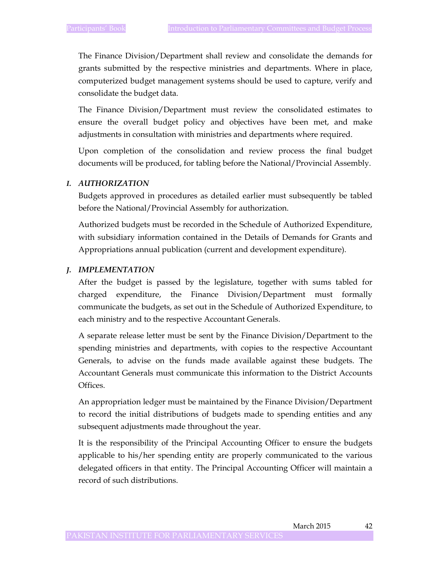The Finance Division/Department shall review and consolidate the demands for grants submitted by the respective ministries and departments. Where in place, computerized budget management systems should be used to capture, verify and consolidate the budget data.

The Finance Division/Department must review the consolidated estimates to ensure the overall budget policy and objectives have been met, and make adjustments in consultation with ministries and departments where required.

Upon completion of the consolidation and review process the final budget documents will be produced, for tabling before the National/Provincial Assembly.

#### *I. AUTHORIZATION*

Budgets approved in procedures as detailed earlier must subsequently be tabled before the National/Provincial Assembly for authorization.

Authorized budgets must be recorded in the Schedule of Authorized Expenditure, with subsidiary information contained in the Details of Demands for Grants and Appropriations annual publication (current and development expenditure).

#### *J. IMPLEMENTATION*

After the budget is passed by the legislature, together with sums tabled for charged expenditure, the Finance Division/Department must formally communicate the budgets, as set out in the Schedule of Authorized Expenditure, to each ministry and to the respective Accountant Generals.

A separate release letter must be sent by the Finance Division/Department to the spending ministries and departments, with copies to the respective Accountant Generals, to advise on the funds made available against these budgets. The Accountant Generals must communicate this information to the District Accounts Offices.

An appropriation ledger must be maintained by the Finance Division/Department to record the initial distributions of budgets made to spending entities and any subsequent adjustments made throughout the year.

It is the responsibility of the Principal Accounting Officer to ensure the budgets applicable to his/her spending entity are properly communicated to the various delegated officers in that entity. The Principal Accounting Officer will maintain a record of such distributions.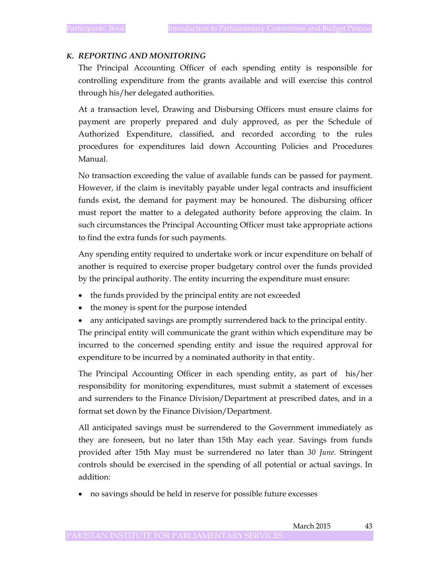#### *K. REPORTING AND MONITORING*

The Principal Accounting Officer of each spending entity is responsible for controlling expenditure from the grants available and will exercise this control through his/her delegated authorities.

At a transaction level, Drawing and Disbursing Officers must ensure claims for payment are properly prepared and duly approved, as per the Schedule of Authorized Expenditure, classified, and recorded according to the rules procedures for expenditures laid down Accounting Policies and Procedures Manual.

No transaction exceeding the value of available funds can be passed for payment. However, if the claim is inevitably payable under legal contracts and insufficient funds exist, the demand for payment may be honoured. The disbursing officer must report the matter to a delegated authority before approving the claim. In such circumstances the Principal Accounting Officer must take appropriate actions to find the extra funds for such payments.

Any spending entity required to undertake work or incur expenditure on behalf of another is required to exercise proper budgetary control over the funds provided by the principal authority. The entity incurring the expenditure must ensure:

- the funds provided by the principal entity are not exceeded
- the money is spent for the purpose intended
- any anticipated savings are promptly surrendered back to the principal entity.

The principal entity will communicate the grant within which expenditure may be incurred to the concerned spending entity and issue the required approval for expenditure to be incurred by a nominated authority in that entity.

The Principal Accounting Officer in each spending entity, as part of his/her responsibility for monitoring expenditures, must submit a statement of excesses and surrenders to the Finance Division/Department at prescribed dates, and in a format set down by the Finance Division/Department.

All anticipated savings must be surrendered to the Government immediately as they are foreseen, but no later than 15th May each year. Savings from funds provided after 15th May must be surrendered no later than *30 June*. Stringent controls should be exercised in the spending of all potential or actual savings. In addition:

no savings should be held in reserve for possible future excesses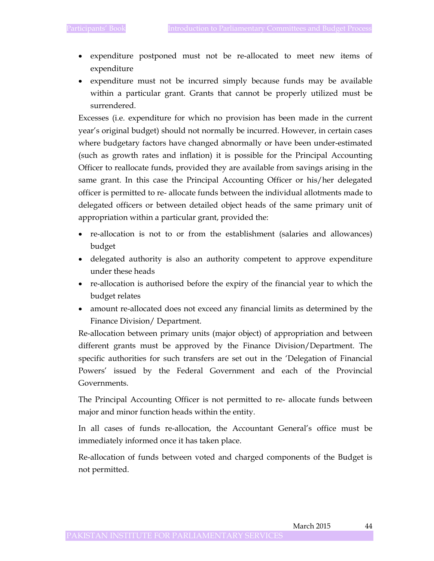- expenditure postponed must not be re-allocated to meet new items of expenditure
- expenditure must not be incurred simply because funds may be available within a particular grant. Grants that cannot be properly utilized must be surrendered.

Excesses (i.e. expenditure for which no provision has been made in the current year's original budget) should not normally be incurred. However, in certain cases where budgetary factors have changed abnormally or have been under-estimated (such as growth rates and inflation) it is possible for the Principal Accounting Officer to reallocate funds, provided they are available from savings arising in the same grant. In this case the Principal Accounting Officer or his/her delegated officer is permitted to re- allocate funds between the individual allotments made to delegated officers or between detailed object heads of the same primary unit of appropriation within a particular grant, provided the:

- re-allocation is not to or from the establishment (salaries and allowances) budget
- delegated authority is also an authority competent to approve expenditure under these heads
- re-allocation is authorised before the expiry of the financial year to which the budget relates
- amount re-allocated does not exceed any financial limits as determined by the Finance Division/ Department.

Re-allocation between primary units (major object) of appropriation and between different grants must be approved by the Finance Division/Department. The specific authorities for such transfers are set out in the 'Delegation of Financial Powers' issued by the Federal Government and each of the Provincial Governments.

The Principal Accounting Officer is not permitted to re- allocate funds between major and minor function heads within the entity.

In all cases of funds re-allocation, the Accountant General's office must be immediately informed once it has taken place.

Re-allocation of funds between voted and charged components of the Budget is not permitted.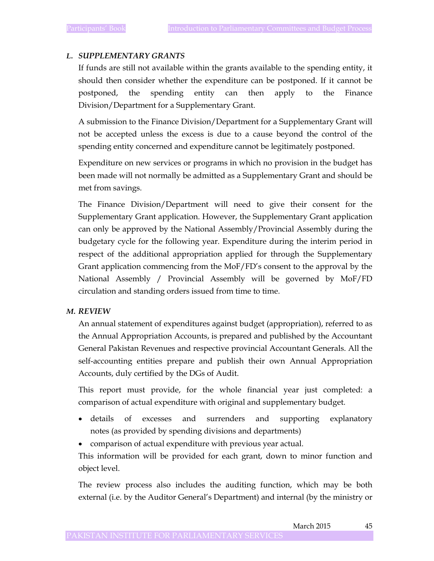#### *L. SUPPLEMENTARY GRANTS*

If funds are still not available within the grants available to the spending entity, it should then consider whether the expenditure can be postponed. If it cannot be postponed, the spending entity can then apply to the Finance Division/Department for a Supplementary Grant.

A submission to the Finance Division/Department for a Supplementary Grant will not be accepted unless the excess is due to a cause beyond the control of the spending entity concerned and expenditure cannot be legitimately postponed.

Expenditure on new services or programs in which no provision in the budget has been made will not normally be admitted as a Supplementary Grant and should be met from savings.

The Finance Division/Department will need to give their consent for the Supplementary Grant application. However, the Supplementary Grant application can only be approved by the National Assembly/Provincial Assembly during the budgetary cycle for the following year. Expenditure during the interim period in respect of the additional appropriation applied for through the Supplementary Grant application commencing from the MoF/FD's consent to the approval by the National Assembly / Provincial Assembly will be governed by MoF/FD circulation and standing orders issued from time to time.

#### *M. REVIEW*

An annual statement of expenditures against budget (appropriation), referred to as the Annual Appropriation Accounts, is prepared and published by the Accountant General Pakistan Revenues and respective provincial Accountant Generals. All the self-accounting entities prepare and publish their own Annual Appropriation Accounts, duly certified by the DGs of Audit.

This report must provide, for the whole financial year just completed: a comparison of actual expenditure with original and supplementary budget.

- details of excesses and surrenders and supporting explanatory notes (as provided by spending divisions and departments)
- comparison of actual expenditure with previous year actual.

This information will be provided for each grant, down to minor function and object level.

The review process also includes the auditing function, which may be both external (i.e. by the Auditor General's Department) and internal (by the ministry or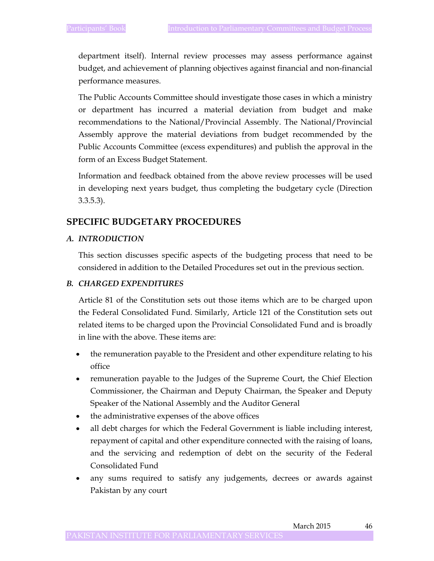department itself). Internal review processes may assess performance against budget, and achievement of planning objectives against financial and non-financial performance measures.

The Public Accounts Committee should investigate those cases in which a ministry or department has incurred a material deviation from budget and make recommendations to the National/Provincial Assembly. The National/Provincial Assembly approve the material deviations from budget recommended by the Public Accounts Committee (excess expenditures) and publish the approval in the form of an Excess Budget Statement.

Information and feedback obtained from the above review processes will be used in developing next years budget, thus completing the budgetary cycle (Direction 3.3.5.3).

### **SPECIFIC BUDGETARY PROCEDURES**

#### *A. INTRODUCTION*

This section discusses specific aspects of the budgeting process that need to be considered in addition to the Detailed Procedures set out in the previous section.

#### *B. CHARGED EXPENDITURES*

Article 81 of the Constitution sets out those items which are to be charged upon the Federal Consolidated Fund. Similarly, Article 121 of the Constitution sets out related items to be charged upon the Provincial Consolidated Fund and is broadly in line with the above. These items are:

- the remuneration payable to the President and other expenditure relating to his office
- remuneration payable to the Judges of the Supreme Court, the Chief Election Commissioner, the Chairman and Deputy Chairman, the Speaker and Deputy Speaker of the National Assembly and the Auditor General
- the administrative expenses of the above offices
- all debt charges for which the Federal Government is liable including interest, repayment of capital and other expenditure connected with the raising of loans, and the servicing and redemption of debt on the security of the Federal Consolidated Fund
- any sums required to satisfy any judgements, decrees or awards against Pakistan by any court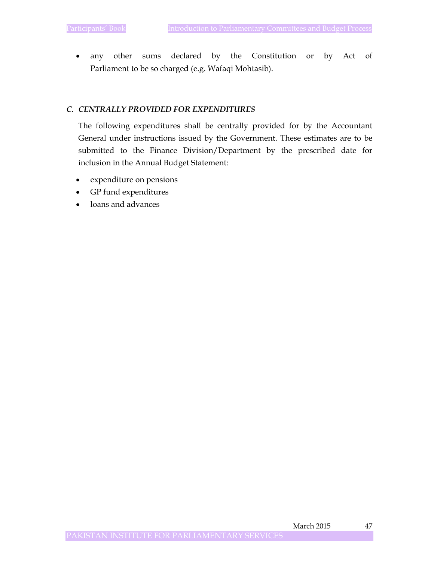any other sums declared by the Constitution or by Act of Parliament to be so charged (e.g. Wafaqi Mohtasib).

#### *C. CENTRALLY PROVIDED FOR EXPENDITURES*

The following expenditures shall be centrally provided for by the Accountant General under instructions issued by the Government. These estimates are to be submitted to the Finance Division/Department by the prescribed date for inclusion in the Annual Budget Statement:

- expenditure on pensions
- GP fund expenditures
- loans and advances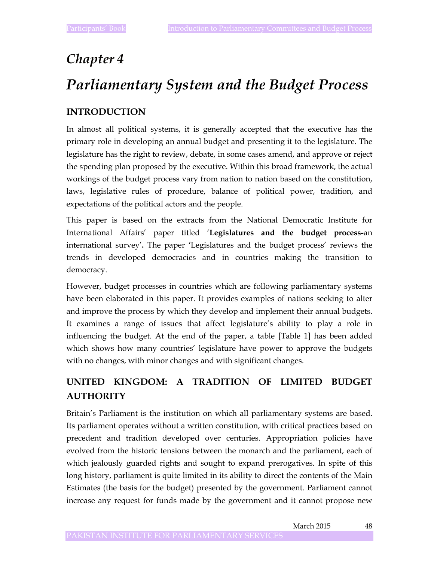# *Chapter 4*

# *Parliamentary System and the Budget Process*

# **INTRODUCTION**

In almost all political systems, it is generally accepted that the executive has the primary role in developing an annual budget and presenting it to the legislature. The legislature has the right to review, debate, in some cases amend, and approve or reject the spending plan proposed by the executive. Within this broad framework, the actual workings of the budget process vary from nation to nation based on the constitution, laws, legislative rules of procedure, balance of political power, tradition, and expectations of the political actors and the people.

This paper is based on the extracts from the National Democratic Institute for International Affairs' paper titled '**Legislatures and the budget process-**an international survey'**.** The paper **'**Legislatures and the budget process' reviews the trends in developed democracies and in countries making the transition to democracy.

However, budget processes in countries which are following parliamentary systems have been elaborated in this paper. It provides examples of nations seeking to alter and improve the process by which they develop and implement their annual budgets. It examines a range of issues that affect legislature's ability to play a role in influencing the budget. At the end of the paper, a table [Table 1] has been added which shows how many countries' legislature have power to approve the budgets with no changes, with minor changes and with significant changes.

# **UNITED KINGDOM: A TRADITION OF LIMITED BUDGET AUTHORITY**

Britain's Parliament is the institution on which all parliamentary systems are based. Its parliament operates without a written constitution, with critical practices based on precedent and tradition developed over centuries. Appropriation policies have evolved from the historic tensions between the monarch and the parliament, each of which jealously guarded rights and sought to expand prerogatives. In spite of this long history, parliament is quite limited in its ability to direct the contents of the Main Estimates (the basis for the budget) presented by the government. Parliament cannot increase any request for funds made by the government and it cannot propose new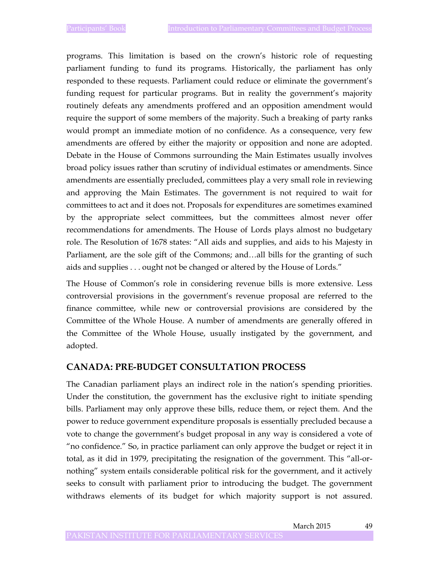programs. This limitation is based on the crown's historic role of requesting parliament funding to fund its programs. Historically, the parliament has only responded to these requests. Parliament could reduce or eliminate the government's funding request for particular programs. But in reality the government's majority routinely defeats any amendments proffered and an opposition amendment would require the support of some members of the majority. Such a breaking of party ranks would prompt an immediate motion of no confidence. As a consequence, very few amendments are offered by either the majority or opposition and none are adopted. Debate in the House of Commons surrounding the Main Estimates usually involves broad policy issues rather than scrutiny of individual estimates or amendments. Since amendments are essentially precluded, committees play a very small role in reviewing and approving the Main Estimates. The government is not required to wait for committees to act and it does not. Proposals for expenditures are sometimes examined by the appropriate select committees, but the committees almost never offer recommendations for amendments. The House of Lords plays almost no budgetary role. The Resolution of 1678 states: "All aids and supplies, and aids to his Majesty in Parliament, are the sole gift of the Commons; and…all bills for the granting of such aids and supplies . . . ought not be changed or altered by the House of Lords."

The House of Common's role in considering revenue bills is more extensive. Less controversial provisions in the government's revenue proposal are referred to the finance committee, while new or controversial provisions are considered by the Committee of the Whole House. A number of amendments are generally offered in the Committee of the Whole House, usually instigated by the government, and adopted.

## **CANADA: PRE-BUDGET CONSULTATION PROCESS**

The Canadian parliament plays an indirect role in the nation's spending priorities. Under the constitution, the government has the exclusive right to initiate spending bills. Parliament may only approve these bills, reduce them, or reject them. And the power to reduce government expenditure proposals is essentially precluded because a vote to change the government's budget proposal in any way is considered a vote of "no confidence." So, in practice parliament can only approve the budget or reject it in total, as it did in 1979, precipitating the resignation of the government. This "all-ornothing" system entails considerable political risk for the government, and it actively seeks to consult with parliament prior to introducing the budget. The government withdraws elements of its budget for which majority support is not assured.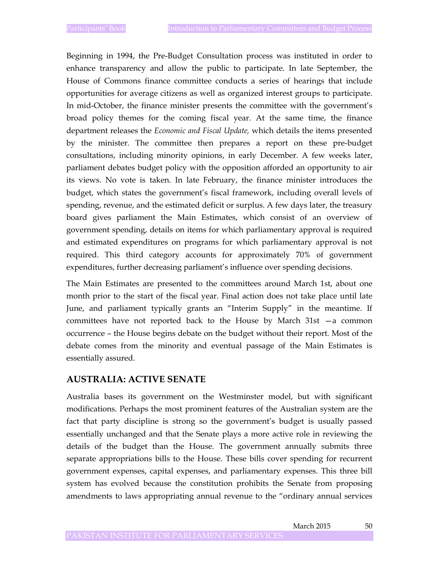Beginning in 1994, the Pre-Budget Consultation process was instituted in order to enhance transparency and allow the public to participate. In late September, the House of Commons finance committee conducts a series of hearings that include opportunities for average citizens as well as organized interest groups to participate. In mid-October, the finance minister presents the committee with the government's broad policy themes for the coming fiscal year. At the same time, the finance department releases the *Economic and Fiscal Update,* which details the items presented by the minister. The committee then prepares a report on these pre-budget consultations, including minority opinions, in early December. A few weeks later, parliament debates budget policy with the opposition afforded an opportunity to air its views. No vote is taken. In late February, the finance minister introduces the budget, which states the government's fiscal framework, including overall levels of spending, revenue, and the estimated deficit or surplus. A few days later, the treasury board gives parliament the Main Estimates, which consist of an overview of government spending, details on items for which parliamentary approval is required and estimated expenditures on programs for which parliamentary approval is not required. This third category accounts for approximately 70% of government expenditures, further decreasing parliament's influence over spending decisions.

The Main Estimates are presented to the committees around March 1st, about one month prior to the start of the fiscal year. Final action does not take place until late June, and parliament typically grants an "Interim Supply" in the meantime. If committees have not reported back to the House by March 31st —a common occurrence – the House begins debate on the budget without their report. Most of the debate comes from the minority and eventual passage of the Main Estimates is essentially assured.

#### **AUSTRALIA: ACTIVE SENATE**

Australia bases its government on the Westminster model, but with significant modifications. Perhaps the most prominent features of the Australian system are the fact that party discipline is strong so the government's budget is usually passed essentially unchanged and that the Senate plays a more active role in reviewing the details of the budget than the House. The government annually submits three separate appropriations bills to the House. These bills cover spending for recurrent government expenses, capital expenses, and parliamentary expenses. This three bill system has evolved because the constitution prohibits the Senate from proposing amendments to laws appropriating annual revenue to the "ordinary annual services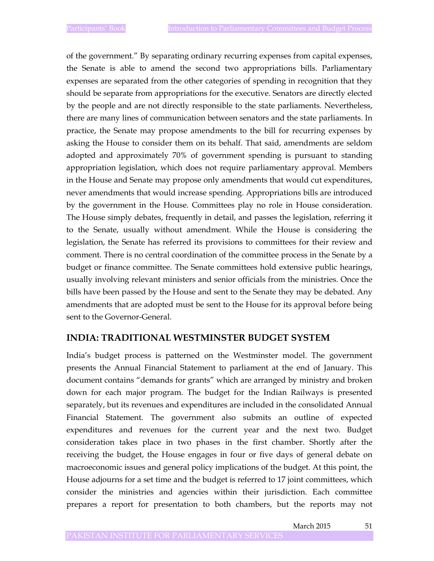of the government." By separating ordinary recurring expenses from capital expenses, the Senate is able to amend the second two appropriations bills. Parliamentary expenses are separated from the other categories of spending in recognition that they should be separate from appropriations for the executive. Senators are directly elected by the people and are not directly responsible to the state parliaments. Nevertheless, there are many lines of communication between senators and the state parliaments. In practice, the Senate may propose amendments to the bill for recurring expenses by asking the House to consider them on its behalf. That said, amendments are seldom adopted and approximately 70% of government spending is pursuant to standing appropriation legislation, which does not require parliamentary approval. Members in the House and Senate may propose only amendments that would cut expenditures, never amendments that would increase spending. Appropriations bills are introduced by the government in the House. Committees play no role in House consideration. The House simply debates, frequently in detail, and passes the legislation, referring it to the Senate, usually without amendment. While the House is considering the legislation, the Senate has referred its provisions to committees for their review and comment. There is no central coordination of the committee process in the Senate by a budget or finance committee. The Senate committees hold extensive public hearings, usually involving relevant ministers and senior officials from the ministries. Once the bills have been passed by the House and sent to the Senate they may be debated. Any amendments that are adopted must be sent to the House for its approval before being sent to the Governor-General.

#### **INDIA: TRADITIONAL WESTMINSTER BUDGET SYSTEM**

India's budget process is patterned on the Westminster model. The government presents the Annual Financial Statement to parliament at the end of January. This document contains "demands for grants" which are arranged by ministry and broken down for each major program. The budget for the Indian Railways is presented separately, but its revenues and expenditures are included in the consolidated Annual Financial Statement. The government also submits an outline of expected expenditures and revenues for the current year and the next two. Budget consideration takes place in two phases in the first chamber. Shortly after the receiving the budget, the House engages in four or five days of general debate on macroeconomic issues and general policy implications of the budget. At this point, the House adjourns for a set time and the budget is referred to 17 joint committees, which consider the ministries and agencies within their jurisdiction. Each committee prepares a report for presentation to both chambers, but the reports may not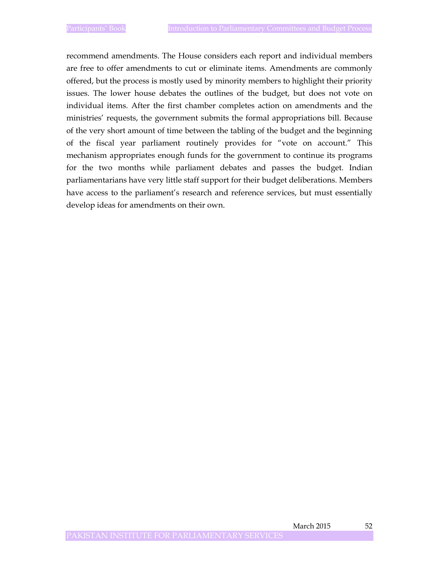recommend amendments. The House considers each report and individual members are free to offer amendments to cut or eliminate items. Amendments are commonly offered, but the process is mostly used by minority members to highlight their priority issues. The lower house debates the outlines of the budget, but does not vote on individual items. After the first chamber completes action on amendments and the ministries' requests, the government submits the formal appropriations bill. Because of the very short amount of time between the tabling of the budget and the beginning of the fiscal year parliament routinely provides for "vote on account." This mechanism appropriates enough funds for the government to continue its programs for the two months while parliament debates and passes the budget. Indian parliamentarians have very little staff support for their budget deliberations. Members have access to the parliament's research and reference services, but must essentially develop ideas for amendments on their own.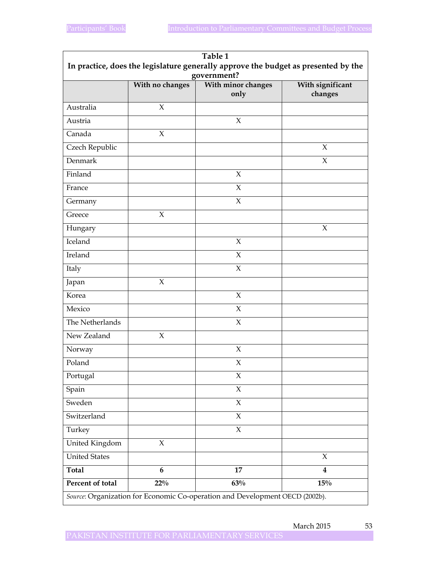| Table 1<br>In practice, does the legislature generally approve the budget as presented by the |                     |                                                                              |                             |
|-----------------------------------------------------------------------------------------------|---------------------|------------------------------------------------------------------------------|-----------------------------|
|                                                                                               | With no changes     | government?<br>With minor changes<br>only                                    | With significant<br>changes |
| Australia                                                                                     | X                   |                                                                              |                             |
| Austria                                                                                       |                     | $\chi$                                                                       |                             |
| Canada                                                                                        | $\boldsymbol{\chi}$ |                                                                              |                             |
| Czech Republic                                                                                |                     |                                                                              | $\chi$                      |
| Denmark                                                                                       |                     |                                                                              | X                           |
| Finland                                                                                       |                     | $\chi$                                                                       |                             |
| France                                                                                        |                     | $\overline{X}$                                                               |                             |
| Germany                                                                                       |                     | $\chi$                                                                       |                             |
| Greece                                                                                        | X                   |                                                                              |                             |
| Hungary                                                                                       |                     |                                                                              | $\chi$                      |
| Iceland                                                                                       |                     | X                                                                            |                             |
| Ireland                                                                                       |                     | $\boldsymbol{\chi}$                                                          |                             |
| Italy                                                                                         |                     | $\chi$                                                                       |                             |
| Japan                                                                                         | $\chi$              |                                                                              |                             |
| Korea                                                                                         |                     | $\boldsymbol{\chi}$                                                          |                             |
| Mexico                                                                                        |                     | $\chi$                                                                       |                             |
| The Netherlands                                                                               |                     | $\chi$                                                                       |                             |
| New Zealand                                                                                   | $\chi$              |                                                                              |                             |
| Norway                                                                                        |                     | X                                                                            |                             |
| Poland                                                                                        |                     | $\chi$                                                                       |                             |
| Portugal                                                                                      |                     | $\mathsf X$                                                                  |                             |
| Spain                                                                                         |                     | $\chi$                                                                       |                             |
| Sweden                                                                                        |                     | $\mathsf{X}$                                                                 |                             |
| Switzerland                                                                                   |                     | $\chi$                                                                       |                             |
| Turkey                                                                                        |                     | $\boldsymbol{\chi}$                                                          |                             |
| United Kingdom                                                                                | $\chi$              |                                                                              |                             |
| <b>United States</b>                                                                          |                     |                                                                              | $\chi$                      |
| <b>Total</b>                                                                                  | $\boldsymbol{6}$    | 17                                                                           | $\overline{\mathbf{4}}$     |
| Percent of total                                                                              | $22\%$              | 63%                                                                          | 15%                         |
|                                                                                               |                     | Source: Organization for Economic Co-operation and Development OECD (2002b). |                             |

March 2015 53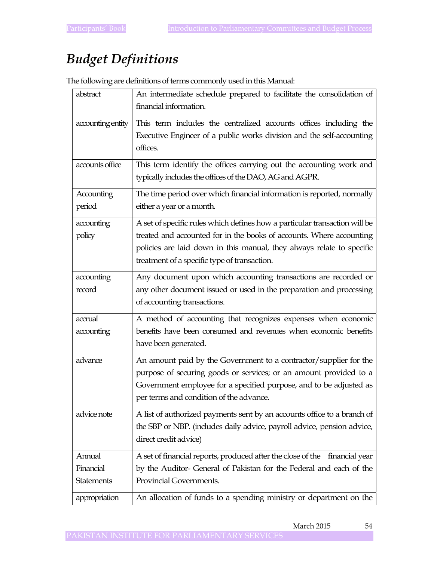# *Budget Definitions*

The following are definitions of terms commonly used in this Manual:

| abstract          | An intermediate schedule prepared to facilitate the consolidation of          |
|-------------------|-------------------------------------------------------------------------------|
|                   | financial information.                                                        |
| accounting entity | This term includes the centralized accounts offices including the             |
|                   | Executive Engineer of a public works division and the self-accounting         |
|                   | offices.                                                                      |
| accounts office   | This term identify the offices carrying out the accounting work and           |
|                   | typically includes the offices of the DAO, AG and AGPR.                       |
| Accounting        | The time period over which financial information is reported, normally        |
| period            | either a year or a month.                                                     |
| accounting        | A set of specific rules which defines how a particular transaction will be    |
| policy            | treated and accounted for in the books of accounts. Where accounting          |
|                   | policies are laid down in this manual, they always relate to specific         |
|                   | treatment of a specific type of transaction.                                  |
| accounting        | Any document upon which accounting transactions are recorded or               |
| record            | any other document issued or used in the preparation and processing           |
|                   | of accounting transactions.                                                   |
| accrual           | A method of accounting that recognizes expenses when economic                 |
| accounting        | benefits have been consumed and revenues when economic benefits               |
|                   | have been generated.                                                          |
| advance           | An amount paid by the Government to a contractor/supplier for the             |
|                   | purpose of securing goods or services; or an amount provided to a             |
|                   | Government employee for a specified purpose, and to be adjusted as            |
|                   | per terms and condition of the advance.                                       |
| advice note       | A list of authorized payments sent by an accounts office to a branch of       |
|                   | the SBP or NBP. (includes daily advice, payroll advice, pension advice,       |
|                   | direct credit advice)                                                         |
| Annual            | A set of financial reports, produced after the close of the<br>financial year |
| Financial         | by the Auditor- General of Pakistan for the Federal and each of the           |
| <b>Statements</b> | Provincial Governments.                                                       |
| appropriation     | An allocation of funds to a spending ministry or department on the            |

March 2015 54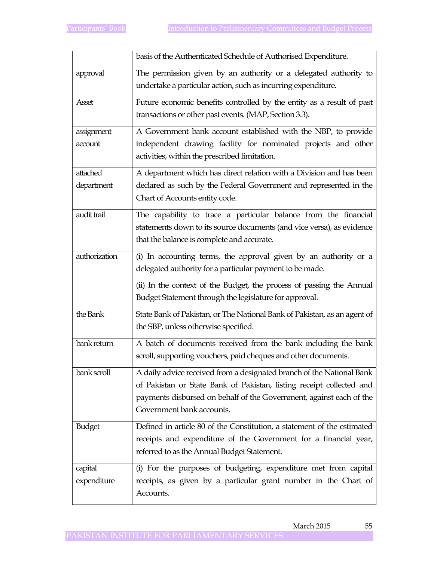|               | basis of the Authenticated Schedule of Authorised Expenditure.                                                                    |
|---------------|-----------------------------------------------------------------------------------------------------------------------------------|
| approval      | The permission given by an authority or a delegated authority to<br>undertake a particular action, such as incurring expenditure. |
| Asset         | Future economic benefits controlled by the entity as a result of past<br>transactions or other past events. (MAP, Section 3.3).   |
| assignment    | A Government bank account established with the NBP, to provide                                                                    |
| account       | independent drawing facility for nominated projects and other<br>activities, within the prescribed limitation.                    |
| attached      | A department which has direct relation with a Division and has been                                                               |
| department    | declared as such by the Federal Government and represented in the<br>Chart of Accounts entity code.                               |
| audit trail   | The capability to trace a particular balance from the financial                                                                   |
|               | statements down to its source documents (and vice versa), as evidence<br>that the balance is complete and accurate.               |
| authorization | (i) In accounting terms, the approval given by an authority or a                                                                  |
|               | delegated authority for a particular payment to be made.                                                                          |
|               | (ii) In the context of the Budget, the process of passing the Annual                                                              |
|               | Budget Statement through the legislature for approval.                                                                            |
| the Bank      | State Bank of Pakistan, or The National Bank of Pakistan, as an agent of                                                          |
|               | the SBP, unless otherwise specified.                                                                                              |
| bank return   | A batch of documents received from the bank including the bank                                                                    |
|               | scroll, supporting vouchers, paid cheques and other documents.                                                                    |
| bank scroll   | A daily advice received from a designated branch of the National Bank                                                             |
|               | of Pakistan or State Bank of Pakistan, listing receipt collected and                                                              |
|               | payments disbursed on behalf of the Government, against each of the                                                               |
|               | Government bank accounts.                                                                                                         |
| <b>Budget</b> | Defined in article 80 of the Constitution, a statement of the estimated                                                           |
|               | receipts and expenditure of the Government for a financial year,<br>referred to as the Annual Budget Statement.                   |
|               |                                                                                                                                   |
| capital       | (i) For the purposes of budgeting, expenditure met from capital                                                                   |
| expenditure   | receipts, as given by a particular grant number in the Chart of                                                                   |

L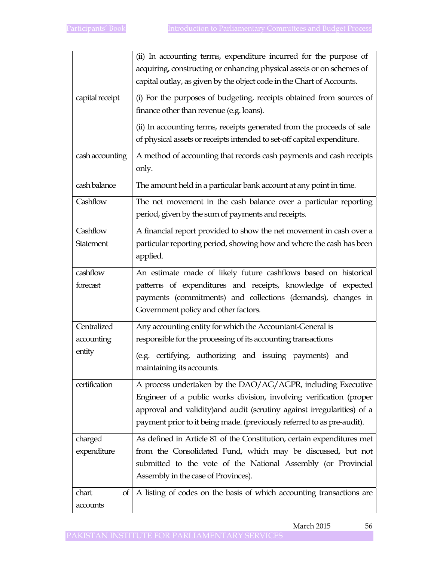|                  | (ii) In accounting terms, expenditure incurred for the purpose of       |
|------------------|-------------------------------------------------------------------------|
|                  | acquiring, constructing or enhancing physical assets or on schemes of   |
|                  | capital outlay, as given by the object code in the Chart of Accounts.   |
| capital receipt  | (i) For the purposes of budgeting, receipts obtained from sources of    |
|                  | finance other than revenue (e.g. loans).                                |
|                  | (ii) In accounting terms, receipts generated from the proceeds of sale  |
|                  | of physical assets or receipts intended to set-off capital expenditure. |
| cash accounting  | A method of accounting that records cash payments and cash receipts     |
|                  | only.                                                                   |
| cash balance     | The amount held in a particular bank account at any point in time.      |
| Cashflow         | The net movement in the cash balance over a particular reporting        |
|                  | period, given by the sum of payments and receipts.                      |
| Cashflow         | A financial report provided to show the net movement in cash over a     |
| <b>Statement</b> | particular reporting period, showing how and where the cash has been    |
|                  | applied.                                                                |
| cashflow         | An estimate made of likely future cashflows based on historical         |
| forecast         | patterns of expenditures and receipts, knowledge of expected            |
|                  | payments (commitments) and collections (demands), changes in            |
|                  | Government policy and other factors.                                    |
| Centralized      | Any accounting entity for which the Accountant-General is               |
| accounting       | responsible for the processing of its accounting transactions           |
| entity           | (e.g. certifying, authorizing and issuing payments) and                 |
|                  | maintaining its accounts.                                               |
| certification    | A process undertaken by the DAO/AG/AGPR, including Executive            |
|                  | Engineer of a public works division, involving verification (proper     |
|                  | approval and validity) and audit (scrutiny against irregularities) of a |
|                  | payment prior to it being made. (previously referred to as pre-audit).  |
| charged          | As defined in Article 81 of the Constitution, certain expenditures met  |
| expenditure      | from the Consolidated Fund, which may be discussed, but not             |
|                  | submitted to the vote of the National Assembly (or Provincial           |
|                  | Assembly in the case of Provinces).                                     |
| chart<br>$\circ$ | A listing of codes on the basis of which accounting transactions are    |
| accounts         |                                                                         |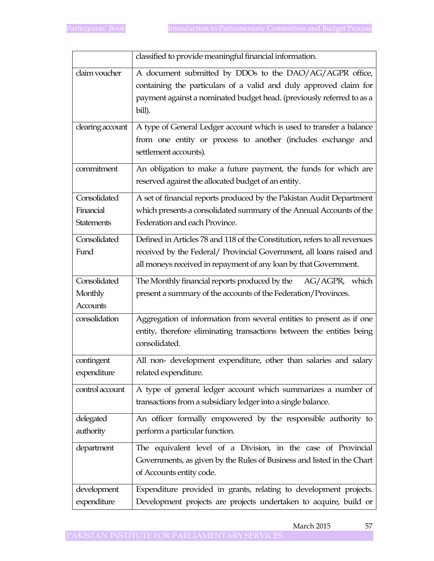|                   | classified to provide meaningful financial information.                    |
|-------------------|----------------------------------------------------------------------------|
| claim voucher     | A document submitted by DDOs to the DAO/AG/AGPR office,                    |
|                   | containing the particulars of a valid and duly approved claim for          |
|                   | payment against a nominated budget head. (previously referred to as a      |
|                   | bill).                                                                     |
| clearing account  | A type of General Ledger account which is used to transfer a balance       |
|                   | from one entity or process to another (includes exchange and               |
|                   |                                                                            |
|                   | settlement accounts).                                                      |
| commitment        | An obligation to make a future payment, the funds for which are            |
|                   | reserved against the allocated budget of an entity.                        |
| Consolidated      | A set of financial reports produced by the Pakistan Audit Department       |
| Financial         | which presents a consolidated summary of the Annual Accounts of the        |
| <b>Statements</b> | Federation and each Province.                                              |
| Consolidated      | Defined in Articles 78 and 118 of the Constitution, refers to all revenues |
| Fund              | received by the Federal/ Provincial Government, all loans raised and       |
|                   | all moneys received in repayment of any loan by that Government.           |
| Consolidated      | The Monthly financial reports produced by the AG/AGPR, which               |
| Monthly           | present a summary of the accounts of the Federation/Provinces.             |
| Accounts          |                                                                            |
| consolidation     | Aggregation of information from several entities to present as if one      |
|                   | entity, therefore eliminating transactions between the entities being      |
|                   | consolidated.                                                              |
| contingent        | All non- development expenditure, other than salaries and salary           |
| expenditure       | related expenditure.                                                       |
|                   |                                                                            |
| control account   | A type of general ledger account which summarizes a number of              |
|                   | transactions from a subsidiary ledger into a single balance.               |
| delegated         | An officer formally empowered by the responsible authority to              |
| authority         | perform a particular function.                                             |
| department        | The equivalent level of a Division, in the case of Provincial              |
|                   | Governments, as given by the Rules of Business and listed in the Chart     |
|                   | of Accounts entity code.                                                   |
| development       | Expenditure provided in grants, relating to development projects.          |
| expenditure       | Development projects are projects undertaken to acquire, build or          |

March 2015 57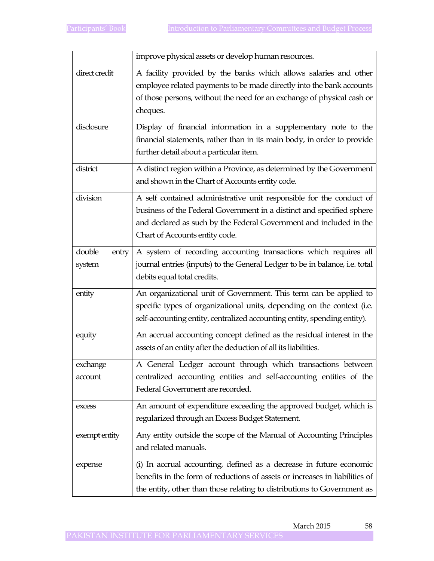|                 | improve physical assets or develop human resources.                         |
|-----------------|-----------------------------------------------------------------------------|
|                 |                                                                             |
| direct credit   | A facility provided by the banks which allows salaries and other            |
|                 | employee related payments to be made directly into the bank accounts        |
|                 | of those persons, without the need for an exchange of physical cash or      |
|                 | cheques.                                                                    |
| disclosure      | Display of financial information in a supplementary note to the             |
|                 | financial statements, rather than in its main body, in order to provide     |
|                 | further detail about a particular item.                                     |
|                 |                                                                             |
| district        | A distinct region within a Province, as determined by the Government        |
|                 | and shown in the Chart of Accounts entity code.                             |
| division        | A self contained administrative unit responsible for the conduct of         |
|                 | business of the Federal Government in a distinct and specified sphere       |
|                 | and declared as such by the Federal Government and included in the          |
|                 | Chart of Accounts entity code.                                              |
| double<br>entry | A system of recording accounting transactions which requires all            |
| system          | journal entries (inputs) to the General Ledger to be in balance, i.e. total |
|                 | debits equal total credits.                                                 |
|                 |                                                                             |
| entity          | An organizational unit of Government. This term can be applied to           |
|                 | specific types of organizational units, depending on the context (i.e.      |
|                 | self-accounting entity, centralized accounting entity, spending entity).    |
| equity          | An accrual accounting concept defined as the residual interest in the       |
|                 | assets of an entity after the deduction of all its liabilities.             |
| exchange        | A General Ledger account through which transactions between                 |
| account         | centralized accounting entities and self-accounting entities of the         |
|                 | Federal Government are recorded.                                            |
|                 |                                                                             |
| excess          | An amount of expenditure exceeding the approved budget, which is            |
|                 | regularized through an Excess Budget Statement.                             |
| exempt entity   | Any entity outside the scope of the Manual of Accounting Principles         |
|                 | and related manuals.                                                        |
| expense         | (i) In accrual accounting, defined as a decrease in future economic         |
|                 | benefits in the form of reductions of assets or increases in liabilities of |
|                 | the entity, other than those relating to distributions to Government as     |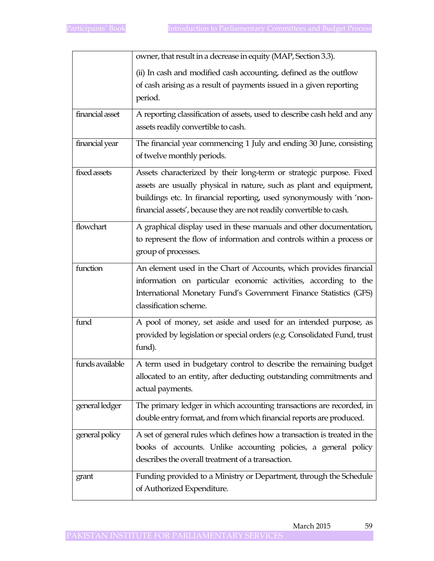|                 | owner, that result in a decrease in equity (MAP, Section 3.3).                                                                                                                                                                                                                            |
|-----------------|-------------------------------------------------------------------------------------------------------------------------------------------------------------------------------------------------------------------------------------------------------------------------------------------|
|                 | (ii) In cash and modified cash accounting, defined as the outflow<br>of cash arising as a result of payments issued in a given reporting<br>period.                                                                                                                                       |
| financial asset | A reporting classification of assets, used to describe cash held and any<br>assets readily convertible to cash.                                                                                                                                                                           |
| financial year  | The financial year commencing 1 July and ending 30 June, consisting<br>of twelve monthly periods.                                                                                                                                                                                         |
| fixed assets    | Assets characterized by their long-term or strategic purpose. Fixed<br>assets are usually physical in nature, such as plant and equipment,<br>buildings etc. In financial reporting, used synonymously with 'non-<br>financial assets', because they are not readily convertible to cash. |
| flowchart       | A graphical display used in these manuals and other documentation,<br>to represent the flow of information and controls within a process or<br>group of processes.                                                                                                                        |
| function        | An element used in the Chart of Accounts, which provides financial<br>information on particular economic activities, according to the<br>International Monetary Fund's Government Finance Statistics (GFS)<br>classification scheme.                                                      |
| fund            | A pool of money, set aside and used for an intended purpose, as<br>provided by legislation or special orders (e.g. Consolidated Fund, trust<br>fund).                                                                                                                                     |
| funds available | A term used in budgetary control to describe the remaining budget<br>allocated to an entity, after deducting outstanding commitments and<br>actual payments.                                                                                                                              |
| general ledger  | The primary ledger in which accounting transactions are recorded, in<br>double entry format, and from which financial reports are produced.                                                                                                                                               |
| general policy  | A set of general rules which defines how a transaction is treated in the<br>books of accounts. Unlike accounting policies, a general policy<br>describes the overall treatment of a transaction.                                                                                          |
| grant           | Funding provided to a Ministry or Department, through the Schedule<br>of Authorized Expenditure.                                                                                                                                                                                          |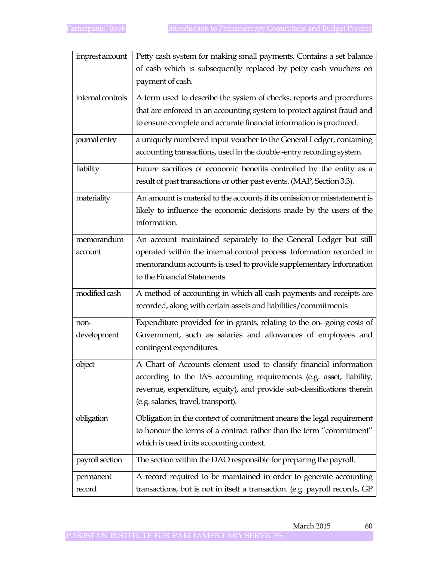| imprest account   | Petty cash system for making small payments. Contains a set balance         |
|-------------------|-----------------------------------------------------------------------------|
|                   | of cash which is subsequently replaced by petty cash vouchers on            |
|                   | payment of cash.                                                            |
| internal controls | A term used to describe the system of checks, reports and procedures        |
|                   | that are enforced in an accounting system to protect against fraud and      |
|                   | to ensure complete and accurate financial information is produced.          |
| journal entry     | a uniquely numbered input voucher to the General Ledger, containing         |
|                   | accounting transactions, used in the double-entry recording system.         |
| liability         | Future sacrifices of economic benefits controlled by the entity as a        |
|                   | result of past transactions or other past events. (MAP, Section 3.3).       |
| materiality       | An amount is material to the accounts if its omission or misstatement is    |
|                   | likely to influence the economic decisions made by the users of the         |
|                   | information.                                                                |
| memorandum        | An account maintained separately to the General Ledger but still            |
| account           | operated within the internal control process. Information recorded in       |
|                   | memorandum accounts is used to provide supplementary information            |
|                   | to the Financial Statements.                                                |
| modified cash     | A method of accounting in which all cash payments and receipts are          |
|                   | recorded, along with certain assets and liabilities/commitments             |
| non-              | Expenditure provided for in grants, relating to the on-going costs of       |
| development       | Government, such as salaries and allowances of employees and                |
|                   | contingent expenditures.                                                    |
| object            | A Chart of Accounts element used to classify financial information          |
|                   | according to the IAS accounting requirements (e.g. asset, liability,        |
|                   | revenue, expenditure, equity), and provide sub-classifications therein      |
|                   | (e.g. salaries, travel, transport).                                         |
| obligation        | Obligation in the context of commitment means the legal requirement         |
|                   | to honour the terms of a contract rather than the term "commitment"         |
|                   | which is used in its accounting context.                                    |
| payroll section   | The section within the DAO responsible for preparing the payroll.           |
| permanent         | A record required to be maintained in order to generate accounting          |
| record            | transactions, but is not in itself a transaction. (e.g. payroll records, GP |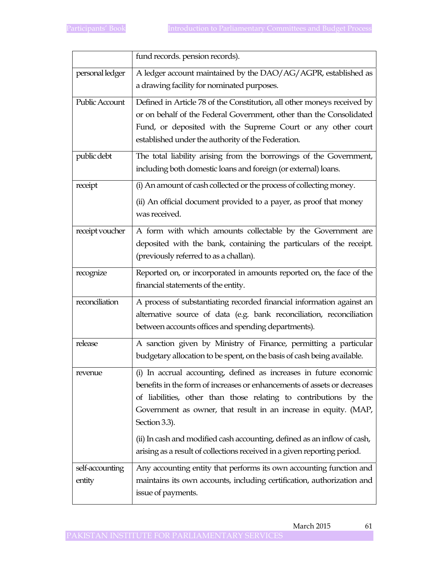|                 | fund records. pension records).                                          |  |  |
|-----------------|--------------------------------------------------------------------------|--|--|
| personal ledger | A ledger account maintained by the DAO/AG/AGPR, established as           |  |  |
|                 | a drawing facility for nominated purposes.                               |  |  |
| Public Account  | Defined in Article 78 of the Constitution, all other moneys received by  |  |  |
|                 | or on behalf of the Federal Government, other than the Consolidated      |  |  |
|                 | Fund, or deposited with the Supreme Court or any other court             |  |  |
|                 | established under the authority of the Federation.                       |  |  |
| public debt     | The total liability arising from the borrowings of the Government,       |  |  |
|                 | including both domestic loans and foreign (or external) loans.           |  |  |
| receipt         | (i) An amount of cash collected or the process of collecting money.      |  |  |
|                 | (ii) An official document provided to a payer, as proof that money       |  |  |
|                 | was received.                                                            |  |  |
| receipt voucher | A form with which amounts collectable by the Government are              |  |  |
|                 | deposited with the bank, containing the particulars of the receipt.      |  |  |
|                 | (previously referred to as a challan).                                   |  |  |
| recognize       | Reported on, or incorporated in amounts reported on, the face of the     |  |  |
|                 | financial statements of the entity.                                      |  |  |
| reconciliation  | A process of substantiating recorded financial information against an    |  |  |
|                 | alternative source of data (e.g. bank reconciliation, reconciliation     |  |  |
|                 | between accounts offices and spending departments).                      |  |  |
| release         | A sanction given by Ministry of Finance, permitting a particular         |  |  |
|                 | budgetary allocation to be spent, on the basis of cash being available.  |  |  |
| revenue         | (i) In accrual accounting, defined as increases in future economic       |  |  |
|                 | benefits in the form of increases or enhancements of assets or decreases |  |  |
|                 | of liabilities, other than those relating to contributions by the        |  |  |
|                 | Government as owner, that result in an increase in equity. (MAP,         |  |  |
|                 | Section 3.3).                                                            |  |  |
|                 | (ii) In cash and modified cash accounting, defined as an inflow of cash, |  |  |
|                 | arising as a result of collections received in a given reporting period. |  |  |
| self-accounting | Any accounting entity that performs its own accounting function and      |  |  |
| entity          | maintains its own accounts, including certification, authorization and   |  |  |
|                 | issue of payments.                                                       |  |  |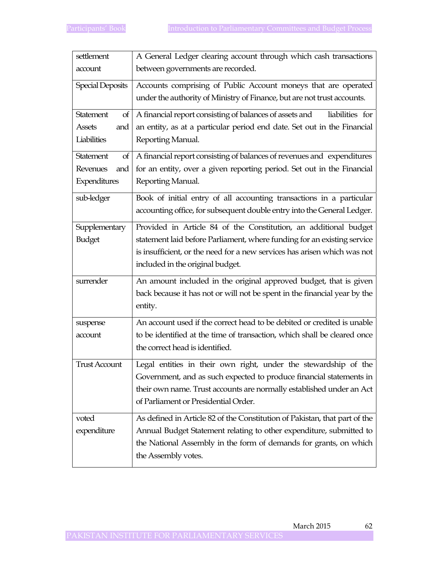| settlement                          | A General Ledger clearing account through which cash transactions          |  |
|-------------------------------------|----------------------------------------------------------------------------|--|
| account                             | between governments are recorded.                                          |  |
| <b>Special Deposits</b>             | Accounts comprising of Public Account moneys that are operated             |  |
|                                     | under the authority of Ministry of Finance, but are not trust accounts.    |  |
| <b>Statement</b><br>$\sigma f$      | A financial report consisting of balances of assets and<br>liabilities for |  |
| Assets<br>and                       | an entity, as at a particular period end date. Set out in the Financial    |  |
| Liabilities                         | Reporting Manual.                                                          |  |
| of <sub>1</sub><br><b>Statement</b> | A financial report consisting of balances of revenues and expenditures     |  |
| Revenues<br>and                     | for an entity, over a given reporting period. Set out in the Financial     |  |
| Expenditures                        | Reporting Manual.                                                          |  |
| sub-ledger                          | Book of initial entry of all accounting transactions in a particular       |  |
|                                     | accounting office, for subsequent double entry into the General Ledger.    |  |
| Supplementary                       | Provided in Article 84 of the Constitution, an additional budget           |  |
| <b>Budget</b>                       | statement laid before Parliament, where funding for an existing service    |  |
|                                     | is insufficient, or the need for a new services has arisen which was not   |  |
|                                     | included in the original budget.                                           |  |
| surrender                           | An amount included in the original approved budget, that is given          |  |
|                                     | back because it has not or will not be spent in the financial year by the  |  |
|                                     | entity.                                                                    |  |
| suspense                            | An account used if the correct head to be debited or credited is unable    |  |
| account                             | to be identified at the time of transaction, which shall be cleared once   |  |
|                                     | the correct head is identified.                                            |  |
| <b>Trust Account</b>                | Legal entities in their own right, under the stewardship of the            |  |
|                                     | Government, and as such expected to produce financial statements in        |  |
|                                     | their own name. Trust accounts are normally established under an Act       |  |
|                                     | of Parliament or Presidential Order.                                       |  |
| voted                               | As defined in Article 82 of the Constitution of Pakistan, that part of the |  |
| expenditure                         | Annual Budget Statement relating to other expenditure, submitted to        |  |
|                                     | the National Assembly in the form of demands for grants, on which          |  |
|                                     | the Assembly votes.                                                        |  |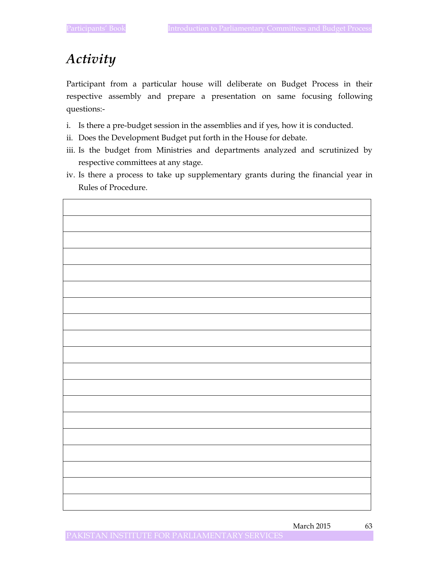# *Activity*

Participant from a particular house will deliberate on Budget Process in their respective assembly and prepare a presentation on same focusing following questions:-

- i. Is there a pre-budget session in the assemblies and if yes, how it is conducted.
- ii. Does the Development Budget put forth in the House for debate.
- iii. Is the budget from Ministries and departments analyzed and scrutinized by respective committees at any stage.
- iv. Is there a process to take up supplementary grants during the financial year in Rules of Procedure.

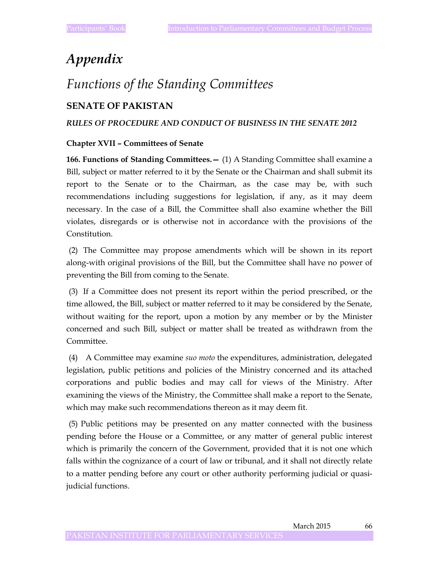# *Appendix*

## *Functions of the Standing Committees*

### **SENATE OF PAKISTAN**

#### *RULES OF PROCEDURE AND CONDUCT OF BUSINESS IN THE SENATE 2012*

#### **Chapter XVII – Committees of Senate**

**166. Functions of Standing Committees.—** (1) A Standing Committee shall examine a Bill, subject or matter referred to it by the Senate or the Chairman and shall submit its report to the Senate or to the Chairman, as the case may be, with such recommendations including suggestions for legislation, if any, as it may deem necessary. In the case of a Bill, the Committee shall also examine whether the Bill violates, disregards or is otherwise not in accordance with the provisions of the Constitution.

(2) The Committee may propose amendments which will be shown in its report along-with original provisions of the Bill, but the Committee shall have no power of preventing the Bill from coming to the Senate.

(3) If a Committee does not present its report within the period prescribed, or the time allowed, the Bill, subject or matter referred to it may be considered by the Senate, without waiting for the report, upon a motion by any member or by the Minister concerned and such Bill, subject or matter shall be treated as withdrawn from the Committee.

(4) A Committee may examine *suo moto* the expenditures, administration, delegated legislation, public petitions and policies of the Ministry concerned and its attached corporations and public bodies and may call for views of the Ministry. After examining the views of the Ministry, the Committee shall make a report to the Senate, which may make such recommendations thereon as it may deem fit.

(5) Public petitions may be presented on any matter connected with the business pending before the House or a Committee, or any matter of general public interest which is primarily the concern of the Government, provided that it is not one which falls within the cognizance of a court of law or tribunal, and it shall not directly relate to a matter pending before any court or other authority performing judicial or quasijudicial functions.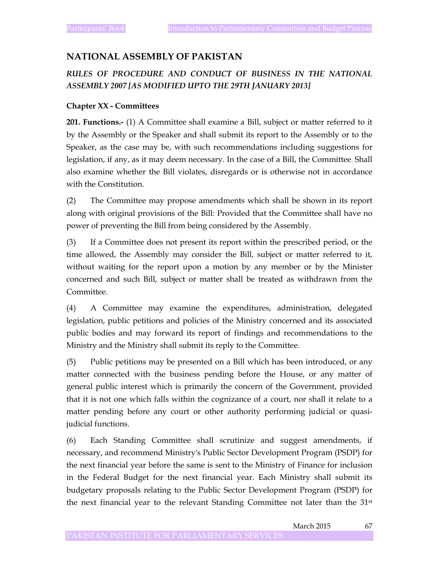## **NATIONAL ASSEMBLY OF PAKISTAN**

## *RULES OF PROCEDURE AND CONDUCT OF BUSINESS IN THE NATIONAL ASSEMBLY 2007 [AS MODIFIED UPTO THE 29TH JANUARY 2013]*

#### **Chapter XX - Committees**

**201. Functions.-** (1) A Committee shall examine a Bill, subject or matter referred to it by the Assembly or the Speaker and shall submit its report to the Assembly or to the Speaker, as the case may be, with such recommendations including suggestions for legislation, if any, as it may deem necessary. In the case of a Bill, the Committee. Shall also examine whether the Bill violates, disregards or is otherwise not in accordance with the Constitution.

(2) The Committee may propose amendments which shall be shown in its report along with original provisions of the Bill: Provided that the Committee shall have no power of preventing the Bill from being considered by the Assembly.

(3) If a Committee does not present its report within the prescribed period, or the time allowed, the Assembly may consider the Bill, subject or matter referred to it, without waiting for the report upon a motion by any member or by the Minister concerned and such Bill, subject or matter shall be treated as withdrawn from the Committee.

(4) A Committee may examine the expenditures, administration, delegated legislation, public petitions and policies of the Ministry concerned and its associated public bodies and may forward its report of findings and recommendations to the Ministry and the Ministry shall submit its reply to the Committee.

(5) Public petitions may be presented on a Bill which has been introduced, or any matter connected with the business pending before the House, or any matter of general public interest which is primarily the concern of the Government, provided that it is not one which falls within the cognizance of a court, nor shall it relate to a matter pending before any court or other authority performing judicial or quasijudicial functions.

(6) Each Standing Committee shall scrutinize and suggest amendments, if necessary, and recommend Ministry's Public Sector Development Program (PSDP) for the next financial year before the same is sent to the Ministry of Finance for inclusion in the Federal Budget for the next financial year. Each Ministry shall submit its budgetary proposals relating to the Public Sector Development Program (PSDP) for the next financial year to the relevant Standing Committee not later than the  $31<sup>st</sup>$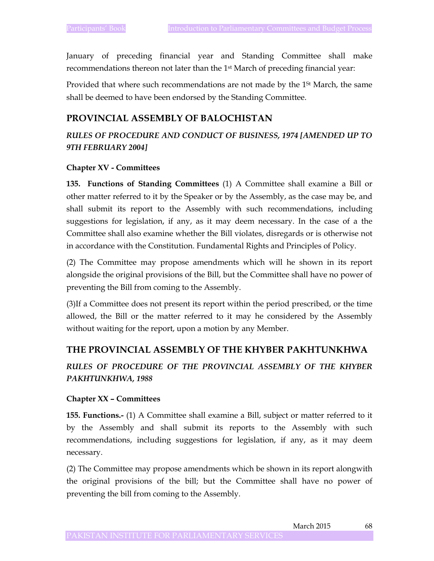January of preceding financial year and Standing Committee shall make recommendations thereon not later than the 1st March of preceding financial year:

Provided that where such recommendations are not made by the 1<sup>5t</sup> March, the same shall be deemed to have been endorsed by the Standing Committee.

## **PROVINCIAL ASSEMBLY OF BALOCHISTAN**

## *RULES OF PROCEDURE AND CONDUCT OF BUSINESS, 1974 [AMENDED UP TO 9TH FEBRUARY 2004]*

### **Chapter XV - Committees**

**135. Functions of Standing Committees** (1) A Committee shall examine a Bill or other matter referred to it by the Speaker or by the Assembly, as the case may be, and shall submit its report to the Assembly with such recommendations, including suggestions for legislation, if any, as it may deem necessary. In the case of a the Committee shall also examine whether the Bill violates, disregards or is otherwise not in accordance with the Constitution. Fundamental Rights and Principles of Policy.

(2) The Committee may propose amendments which will he shown in its report alongside the original provisions of the Bill, but the Committee shall have no power of preventing the Bill from coming to the Assembly.

(3)If a Committee does not present its report within the period prescribed, or the time allowed, the Bill or the matter referred to it may he considered by the Assembly without waiting for the report, upon a motion by any Member.

## **THE PROVINCIAL ASSEMBLY OF THE KHYBER PAKHTUNKHWA**

## *RULES OF PROCEDURE OF THE PROVINCIAL ASSEMBLY OF THE KHYBER PAKHTUNKHWA, 1988*

#### **Chapter XX – Committees**

**155. Functions.-** (1) A Committee shall examine a Bill, subject or matter referred to it by the Assembly and shall submit its reports to the Assembly with such recommendations, including suggestions for legislation, if any, as it may deem necessary.

(2) The Committee may propose amendments which be shown in its report alongwith the original provisions of the bill; but the Committee shall have no power of preventing the bill from coming to the Assembly.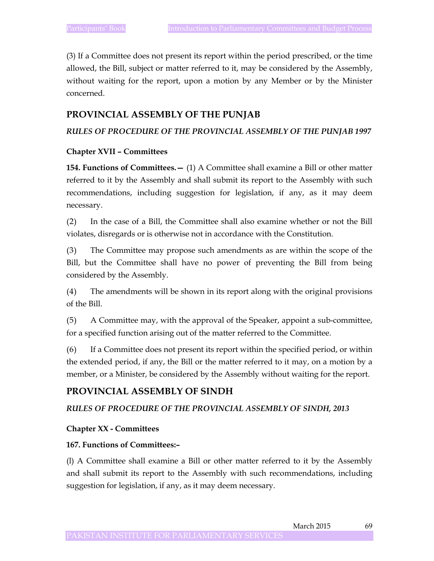(3) If a Committee does not present its report within the period prescribed, or the time allowed, the Bill, subject or matter referred to it, may be considered by the Assembly, without waiting for the report, upon a motion by any Member or by the Minister concerned.

## **PROVINCIAL ASSEMBLY OF THE PUNJAB**

#### *RULES OF PROCEDURE OF THE PROVINCIAL ASSEMBLY OF THE PUNJAB 1997*

### **Chapter XVII – Committees**

**154. Functions of Committees.—** (1) A Committee shall examine a Bill or other matter referred to it by the Assembly and shall submit its report to the Assembly with such recommendations, including suggestion for legislation, if any, as it may deem necessary.

(2) In the case of a Bill, the Committee shall also examine whether or not the Bill violates, disregards or is otherwise not in accordance with the Constitution.

(3) The Committee may propose such amendments as are within the scope of the Bill, but the Committee shall have no power of preventing the Bill from being considered by the Assembly.

(4) The amendments will be shown in its report along with the original provisions of the Bill.

(5) A Committee may, with the approval of the Speaker, appoint a sub-committee, for a specified function arising out of the matter referred to the Committee.

(6) If a Committee does not present its report within the specified period, or within the extended period, if any, the Bill or the matter referred to it may, on a motion by a member, or a Minister, be considered by the Assembly without waiting for the report.

## **PROVINCIAL ASSEMBLY OF SINDH**

#### *RULES OF PROCEDURE OF THE PROVINCIAL ASSEMBLY OF SINDH, 2013*

#### **Chapter XX - Committees**

#### **167. Functions of Committees:–**

(l) A Committee shall examine a Bill or other matter referred to it by the Assembly and shall submit its report to the Assembly with such recommendations, including suggestion for legislation, if any, as it may deem necessary.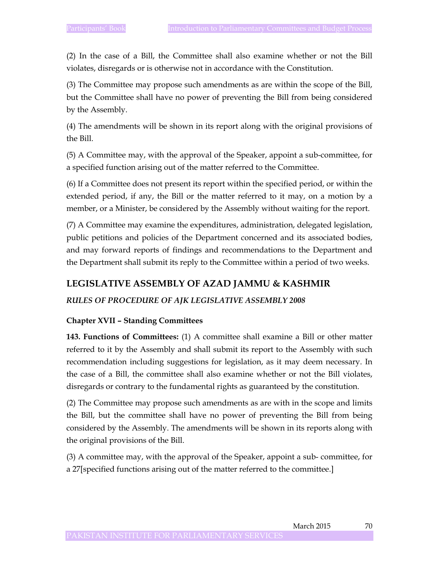(2) In the case of a Bill, the Committee shall also examine whether or not the Bill violates, disregards or is otherwise not in accordance with the Constitution.

(3) The Committee may propose such amendments as are within the scope of the Bill, but the Committee shall have no power of preventing the Bill from being considered by the Assembly.

(4) The amendments will be shown in its report along with the original provisions of the Bill.

(5) A Committee may, with the approval of the Speaker, appoint a sub-committee, for a specified function arising out of the matter referred to the Committee.

(6) If a Committee does not present its report within the specified period, or within the extended period, if any, the Bill or the matter referred to it may, on a motion by a member, or a Minister, be considered by the Assembly without waiting for the report.

(7) A Committee may examine the expenditures, administration, delegated legislation, public petitions and policies of the Department concerned and its associated bodies, and may forward reports of findings and recommendations to the Department and the Department shall submit its reply to the Committee within a period of two weeks.

## **LEGISLATIVE ASSEMBLY OF AZAD JAMMU & KASHMIR**

#### *RULES OF PROCEDURE OF AJK LEGISLATIVE ASSEMBLY 2008*

#### **Chapter XVII – Standing Committees**

**143. Functions of Committees:** (1) A committee shall examine a Bill or other matter referred to it by the Assembly and shall submit its report to the Assembly with such recommendation including suggestions for legislation, as it may deem necessary. In the case of a Bill, the committee shall also examine whether or not the Bill violates, disregards or contrary to the fundamental rights as guaranteed by the constitution.

(2) The Committee may propose such amendments as are with in the scope and limits the Bill, but the committee shall have no power of preventing the Bill from being considered by the Assembly. The amendments will be shown in its reports along with the original provisions of the Bill.

(3) A committee may, with the approval of the Speaker, appoint a sub- committee, for a 27[specified functions arising out of the matter referred to the committee.]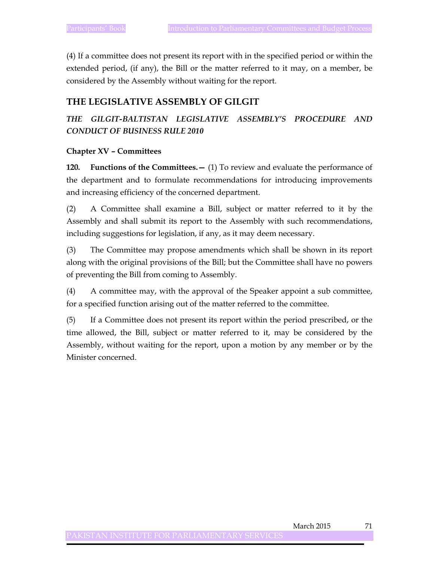(4) If a committee does not present its report with in the specified period or within the extended period, (if any), the Bill or the matter referred to it may, on a member, be considered by the Assembly without waiting for the report.

## **THE LEGISLATIVE ASSEMBLY OF GILGIT**

*THE GILGIT-BALTISTAN LEGISLATIVE ASSEMBLY'S PROCEDURE AND CONDUCT OF BUSINESS RULE 2010* 

### **Chapter XV – Committees**

**120. Functions of the Committees.—** (1) To review and evaluate the performance of the department and to formulate recommendations for introducing improvements and increasing efficiency of the concerned department.

(2) A Committee shall examine a Bill, subject or matter referred to it by the Assembly and shall submit its report to the Assembly with such recommendations, including suggestions for legislation, if any, as it may deem necessary.

(3) The Committee may propose amendments which shall be shown in its report along with the original provisions of the Bill; but the Committee shall have no powers of preventing the Bill from coming to Assembly.

(4) A committee may, with the approval of the Speaker appoint a sub committee, for a specified function arising out of the matter referred to the committee.

(5) If a Committee does not present its report within the period prescribed, or the time allowed, the Bill, subject or matter referred to it, may be considered by the Assembly, without waiting for the report, upon a motion by any member or by the Minister concerned.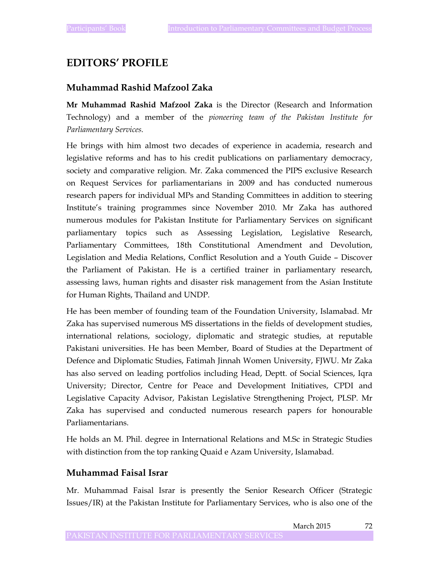## **EDITORS' PROFILE**

### **Muhammad Rashid Mafzool Zaka**

**Mr Muhammad Rashid Mafzool Zaka** is the Director (Research and Information Technology) and a member of the *pioneering team of the Pakistan Institute for Parliamentary Services.*

He brings with him almost two decades of experience in academia, research and legislative reforms and has to his credit publications on parliamentary democracy, society and comparative religion. Mr. Zaka commenced the PIPS exclusive Research on Request Services for parliamentarians in 2009 and has conducted numerous research papers for individual MPs and Standing Committees in addition to steering Institute's training programmes since November 2010. Mr Zaka has authored numerous modules for Pakistan Institute for Parliamentary Services on significant parliamentary topics such as Assessing Legislation, Legislative Research, Parliamentary Committees, 18th Constitutional Amendment and Devolution, Legislation and Media Relations, Conflict Resolution and a Youth Guide – Discover the Parliament of Pakistan. He is a certified trainer in parliamentary research, assessing laws, human rights and disaster risk management from the Asian Institute for Human Rights, Thailand and UNDP.

He has been member of founding team of the Foundation University, Islamabad. Mr Zaka has supervised numerous MS dissertations in the fields of development studies, international relations, sociology, diplomatic and strategic studies, at reputable Pakistani universities. He has been Member, Board of Studies at the Department of Defence and Diplomatic Studies, Fatimah Jinnah Women University, FJWU. Mr Zaka has also served on leading portfolios including Head, Deptt. of Social Sciences, Iqra University; Director, Centre for Peace and Development Initiatives, CPDI and Legislative Capacity Advisor, Pakistan Legislative Strengthening Project, PLSP. Mr Zaka has supervised and conducted numerous research papers for honourable Parliamentarians.

He holds an M. Phil. degree in International Relations and M.Sc in Strategic Studies with distinction from the top ranking Quaid e Azam University, Islamabad.

#### **Muhammad Faisal Israr**

Mr. Muhammad Faisal Israr is presently the Senior Research Officer (Strategic Issues/IR) at the Pakistan Institute for Parliamentary Services, who is also one of the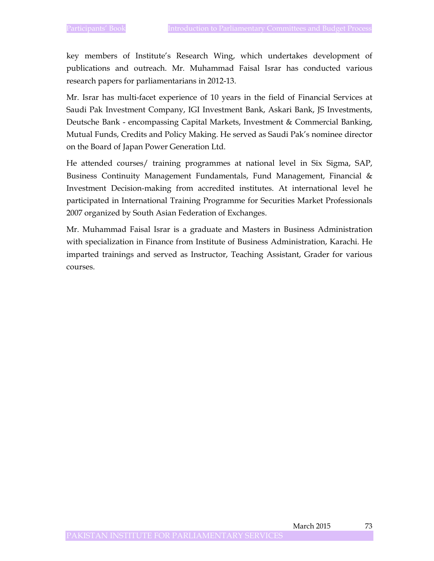key members of Institute's Research Wing, which undertakes development of publications and outreach. Mr. Muhammad Faisal Israr has conducted various research papers for parliamentarians in 2012-13.

Mr. Israr has multi-facet experience of 10 years in the field of Financial Services at Saudi Pak Investment Company, IGI Investment Bank, Askari Bank, JS Investments, Deutsche Bank - encompassing Capital Markets, Investment & Commercial Banking, Mutual Funds, Credits and Policy Making. He served as Saudi Pak's nominee director on the Board of Japan Power Generation Ltd.

He attended courses/ training programmes at national level in Six Sigma, SAP, Business Continuity Management Fundamentals, Fund Management, Financial & Investment Decision-making from accredited institutes. At international level he participated in International Training Programme for Securities Market Professionals 2007 organized by South Asian Federation of Exchanges.

Mr. Muhammad Faisal Israr is a graduate and Masters in Business Administration with specialization in Finance from Institute of Business Administration, Karachi. He imparted trainings and served as Instructor, Teaching Assistant, Grader for various courses.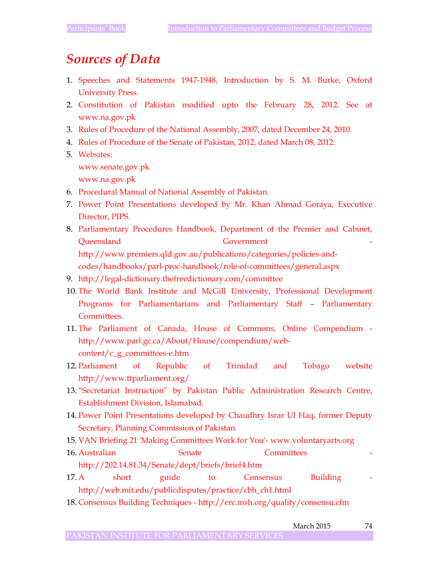# *Sources of Data*

- 1. Speeches and Statements 1947-1948, Introduction by S. M. Burke, Oxford University Press.
- 2. Constitution of Pakistan modified upto the February 28, 2012. See at www.na.gov.pk
- 3. Rules of Procedure of the National Assembly, 2007, dated December 24, 2010.
- 4. Rules of Procedure of the Senate of Pakistan, 2012, dated March 08, 2012.
- 5. Websites:

www.senate.gov.pk

www.na.gov.pk

- 6. Procedural Manual of National Assembly of Pakistan.
- 7. Power Point Presentations developed by Mr. Khan Ahmad Goraya, Executive Director, PIPS.
- 8. Parliamentary Procedures Handbook, Department of the Premier and Cabinet, Queensland Government http://www.premiers.qld.gov.au/publications/categories/policies-andcodes/handbooks/parl-proc-handbook/role-of-committees/general.aspx
- 9. http://legal-dictionary.thefreedictionary.com/committee
- 10. The World Bank Institute and McGill University, Professional Development Programs for Parliamentarians and Parliamentary Staff – Parliamentary Committees.
- 11. The Parliament of Canada, House of Commons, Online Compendium http://www.parl.gc.ca/About/House/compendium/webcontent/c\_g\_committees-e.htm
- 12. Parliament of Republic of Trinidad and Tobago website http://www.ttparliament.org/
- 13. "Secretariat Instruction" by Pakistan Public Administration Research Centre, Establishment Division, Islamabad.
- 14. Power Point Presentations developed by Chaudhry Israr Ul Haq, former Deputy Secretary, Planning Commission of Pakistan.
- 15. VAN Briefing 21 'Making Committees Work for You'- www.voluntaryarts.org
- 16. Australian Senate Committees http://202.14.81.34/Senate/dept/briefs/brief4.htm 17. A short guide to Consensus Building -
- http://web.mit.edu/publicdisputes/practice/cbh\_ch1.html
- 18. Consensus Building Techniques http://erc.msh.org/quality/consensu.cfm